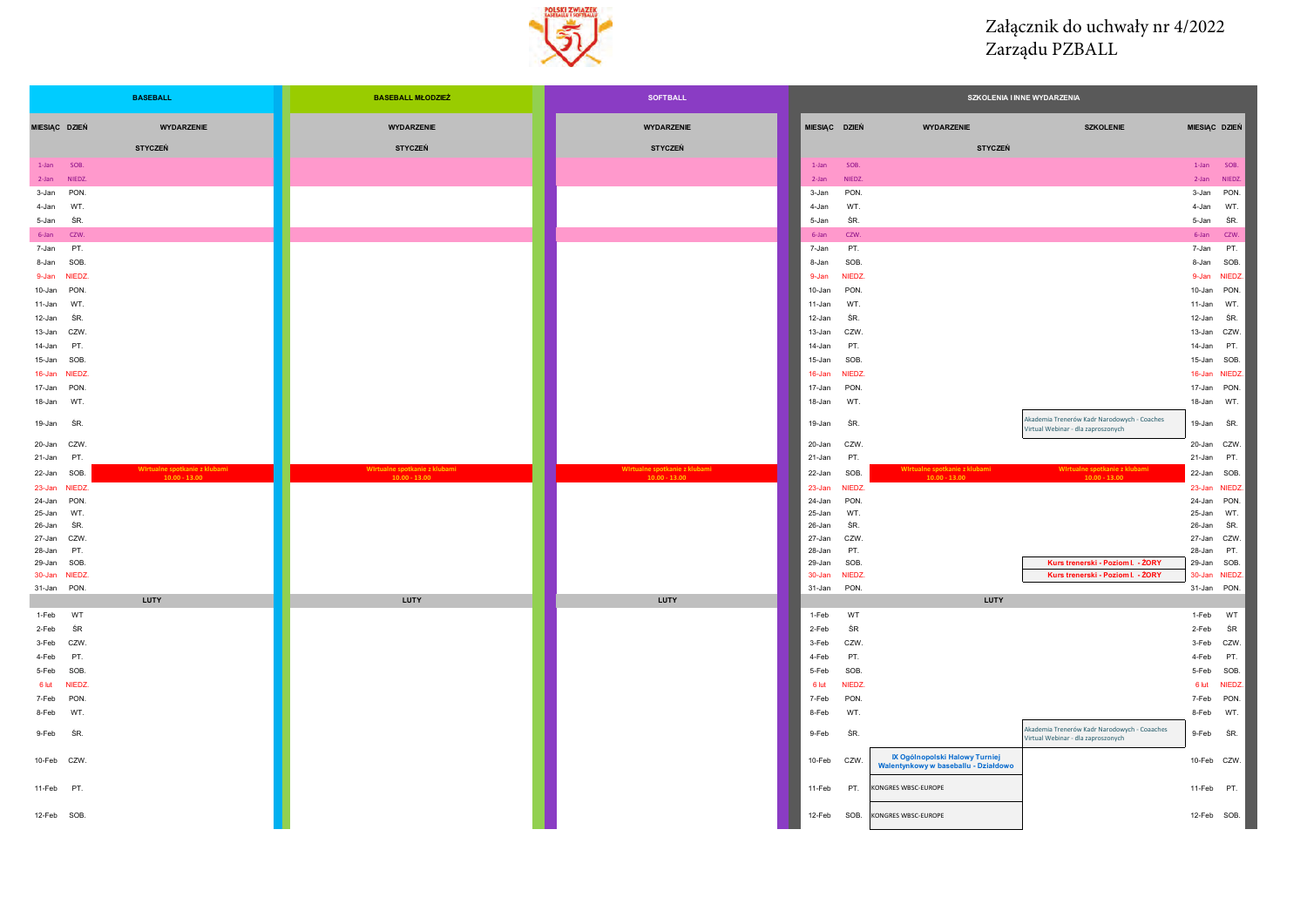

## Załącznik do uchwały nr 4/2022 Zarządu PZBALL

| <b>BASEBALL</b>                                | <b>BASEBALL MŁODZIEŻ</b>      | <b>SOFTBALL</b>                                  | SZKOLENIA I INNE WYDARZENIA |                      |                                                                        |                                                                                    |                  |                      |
|------------------------------------------------|-------------------------------|--------------------------------------------------|-----------------------------|----------------------|------------------------------------------------------------------------|------------------------------------------------------------------------------------|------------------|----------------------|
| <b>WYDARZENIE</b><br>MIESIĄC DZIEŃ             | <b>WYDARZENIE</b>             | <b>WYDARZENIE</b>                                | MIESIĄC DZIEŃ               |                      | <b>WYDARZENIE</b>                                                      | <b>SZKOLENIE</b>                                                                   | MIESIĄC DZIEŃ    |                      |
| <b>STYCZEŃ</b>                                 | <b>STYCZEŃ</b>                | <b>STYCZEŃ</b>                                   |                             |                      | <b>STYCZEŃ</b>                                                         |                                                                                    |                  |                      |
| $1 - Jan$<br>SOB.                              |                               |                                                  | $1-Ian$                     | SOB.                 |                                                                        |                                                                                    | $1$ -Jan         | SOB.                 |
| NIFD <sub>7</sub><br>$2$ -Jan                  |                               |                                                  | 2-Jan                       | NIEDZ.               |                                                                        |                                                                                    | $2$ -lan         | NIEDZ.               |
| 3-Jan<br>PON.                                  |                               |                                                  | 3-Jan                       | PON.                 |                                                                        |                                                                                    | 3-Jan            | PON.                 |
| WT<br>4-Jan                                    |                               |                                                  | 4-Jan                       | WT.                  |                                                                        |                                                                                    | 4-Jan            | WT.                  |
| ŚR.<br>5-Jan                                   |                               |                                                  | 5-Jan                       | ŚR.                  |                                                                        |                                                                                    | 5-Jan            | ŚR.                  |
| 6-Jan<br>CZW                                   |                               |                                                  | 6-Jan                       | CZW.                 |                                                                        |                                                                                    | 6-Jan            | <b>CZW</b>           |
| PT.<br>7-Jan                                   |                               |                                                  | 7-Jan                       | PT.                  |                                                                        |                                                                                    | 7-Jan            | PT.                  |
| SOB.<br>8-Jan                                  |                               |                                                  | 8-Jan<br>9-Jan              | SOB.<br><b>NIEDZ</b> |                                                                        |                                                                                    | 8-Jan<br>9-Jan   | SOB.<br><b>NIEDZ</b> |
| 9-Jan NIEDZ<br>10-Jan PON.                     |                               |                                                  | 10-Jan                      | PON.                 |                                                                        |                                                                                    | 10-Jan           | PON.                 |
| 11-Jan<br>WT.                                  |                               |                                                  | 11-Jan                      | WT.                  |                                                                        |                                                                                    | 11-Jan           | WT                   |
| 12-Jan<br>ŚR                                   |                               |                                                  | 12-Jan                      | ŚR.                  |                                                                        |                                                                                    | 12-Jan           | ŚR.                  |
| 13-Jan<br>CZW.                                 |                               |                                                  | 13-Jan                      | CZW                  |                                                                        |                                                                                    | 13-Jan           | CZW.                 |
| 14-Jan<br>PT.                                  |                               |                                                  | 14-Jan                      | PT.                  |                                                                        |                                                                                    | 14-Jan           | PT.                  |
| SOB.<br>15-Jan                                 |                               |                                                  | 15-Jan                      | SOB.                 |                                                                        |                                                                                    | 15-Jan           | SOB.                 |
| 16-Jan NIEDZ                                   |                               |                                                  | 16-Jan                      | <b>NIEDZ</b>         |                                                                        |                                                                                    | 16-Jan           | <b>NIEDZ</b>         |
| 17-Jan<br>PON.                                 |                               |                                                  | 17-Jan                      | PON.                 |                                                                        |                                                                                    | 17-Jan           | PON.                 |
| 18-Jan<br>WT.                                  |                               |                                                  | 18-Jan                      | WT.                  |                                                                        |                                                                                    | 18-Jan           | WT.                  |
| 19-Jan<br>ŚR.                                  |                               |                                                  | 19-Jan                      | ŚR.                  |                                                                        | Akademia Trenerów Kadr Narodowych - Coaches<br>Virtual Webinar - dla zaproszonych  | 19-Jan           | ŚR.                  |
| 20-Jan CZW.                                    |                               |                                                  | 20-Jan                      | CZW.                 |                                                                        |                                                                                    | 20-Jan CZW.      |                      |
| PT.<br>21-Jan<br>Wirtualne spotkanie z klubami | Wirtualne spotkanie z klubami |                                                  | 21-Jan                      | PT.                  | Wirtualne spotkanie z klubami                                          | Wirtualne spotkanie z klubami                                                      | 21-Jan           | PT.                  |
| 22-Jan<br>SOB.<br>$10.00 - 13.00$              | $10.00 - 13.00$               | Wirtualne spotkanie z klubami<br>$10.00 - 13.00$ | 22-Jan                      | SOB.                 | $10.00 - 13.00$                                                        | $10.00 - 13.00$                                                                    | 22-Jan           | SOB.                 |
| 23-Jan NIEDZ                                   |                               |                                                  | 23-Jan                      | NIEDZ.               |                                                                        |                                                                                    | 23-Jan           | <b>NIEDZ</b>         |
| 24-Jan<br>PON.<br>25-Jan<br>WT.                |                               |                                                  | 24-Jan<br>25-Jan            | PON.<br>WT.          |                                                                        |                                                                                    | 24-Jan<br>25-Jan | PON.<br>WT.          |
| ŚR.<br>26-Jan                                  |                               |                                                  | 26-Jan                      | ŚR.                  |                                                                        |                                                                                    | 26-Jan           | ŚR.                  |
| CZW.<br>27-Jan                                 |                               |                                                  | 27-Jan                      | CZW.                 |                                                                        |                                                                                    | 27-Jan           | CZW.                 |
| 28-Jan<br>PT.                                  |                               |                                                  | 28-Jan                      | PT.                  |                                                                        |                                                                                    | 28-Jan           | PT.                  |
| 29-Jan<br>SOB.<br>30-Jan NIEDZ                 |                               |                                                  | 29-Jan<br>30-Jan            | SOB.<br><b>NIEDZ</b> |                                                                        | Kurs trenerski - Poziom I. - ŻORY<br>Kurs trenerski - Poziom I. - ŻORY             | 29-Jan<br>30-Jan | SOB.<br><b>NIEDZ</b> |
| 31-Jan<br>PON.                                 |                               |                                                  | 31-Jan                      | PON.                 |                                                                        |                                                                                    | 31-Jan           | PON.                 |
| LUTY                                           | <b>LUTY</b>                   | <b>LUTY</b>                                      |                             |                      | LUTY                                                                   |                                                                                    |                  |                      |
| 1-Feb<br>WT                                    |                               |                                                  | 1-Feb                       | WT                   |                                                                        |                                                                                    | 1-Feb            | WT                   |
| ŚR<br>2-Feb                                    |                               |                                                  | 2-Feb                       | ŚR                   |                                                                        |                                                                                    | 2-Feb            | ŚR                   |
| 3-Feb<br>CZW.                                  |                               |                                                  | 3-Feb                       | CZW.                 |                                                                        |                                                                                    | 3-Feb            | CZW.                 |
| 4-Feb<br>PT.                                   |                               |                                                  | 4-Feb                       | PT.                  |                                                                        |                                                                                    | 4-Feb            | PT.                  |
| 5-Feb<br>SOB.                                  |                               |                                                  | 5-Feb                       | SOB.                 |                                                                        |                                                                                    | 5-Feb            | SOB.                 |
| 6 lut NIEDZ<br>PON                             |                               |                                                  | 6 lut<br>7-Feb              | <b>NIEDZ</b>         |                                                                        |                                                                                    | 6 lut            | <b>NIEDZ</b>         |
| 7-Feb<br>8-Feb<br>WT                           |                               |                                                  | 8-Feb                       | PON.<br>WT.          |                                                                        |                                                                                    | 7-Feb<br>8-Feb   | PON.<br>WT.          |
|                                                |                               |                                                  |                             |                      |                                                                        |                                                                                    |                  |                      |
| 9-Feb<br>ŚR.                                   |                               |                                                  | 9-Feb                       | ŚR.                  |                                                                        | Akademia Trenerów Kadr Narodowych - Coaaches<br>Virtual Webinar - dla zaproszonych | 9-Feb            | ŚR.                  |
| 10-Feb CZW.                                    |                               |                                                  | 10-Feb                      | CZW.                 | IX Ogólnopolski Halowy Turniej<br>Walentynkowy w baseballu - Działdowo |                                                                                    | 10-Feb CZW.      |                      |
| 11-Feb PT.                                     |                               |                                                  | 11-Feb                      | PT.                  | KONGRES WBSC-EUROPE                                                    |                                                                                    | 11-Feb PT.       |                      |
| 12-Feb SOB.                                    |                               |                                                  | 12-Feb                      | SOB.                 | KONGRES WBSC-EUROPE                                                    |                                                                                    | 12-Feb SOB.      |                      |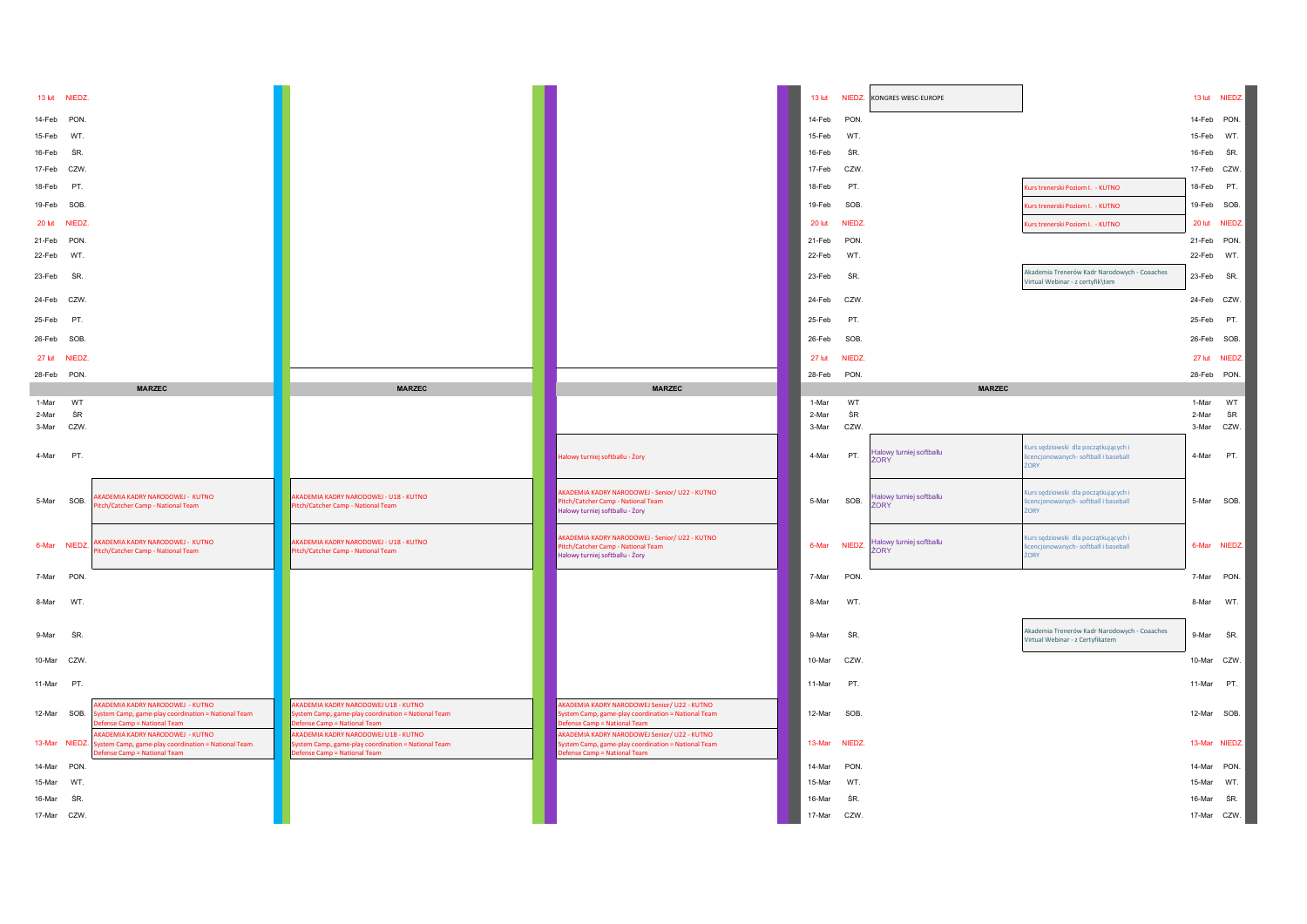|                | 13 lut NIEDZ. |                                                                                          |                                                                                           |                                                                                                   |                |              | 13 lut NIEDZ. KONGRES WBSC-EUROPE           |                                                                                  |             | 13 lut NIEDZ.   |
|----------------|---------------|------------------------------------------------------------------------------------------|-------------------------------------------------------------------------------------------|---------------------------------------------------------------------------------------------------|----------------|--------------|---------------------------------------------|----------------------------------------------------------------------------------|-------------|-----------------|
| 14-Feb         | PON.          |                                                                                          |                                                                                           |                                                                                                   | 14-Feb         | PON.         |                                             |                                                                                  | 14-Feb PON. |                 |
| 15-Feb         | WT.           |                                                                                          |                                                                                           |                                                                                                   | 15-Feb         | WT.          |                                             |                                                                                  | 15-Feb WT.  |                 |
| 16-Feb         | ŚR.           |                                                                                          |                                                                                           |                                                                                                   | 16-Feb         | ŚR.          |                                             |                                                                                  | 16-Feb SR.  |                 |
| 17-Feb         | CZW.          |                                                                                          |                                                                                           |                                                                                                   | 17-Feb         | CZW.         |                                             |                                                                                  | 17-Feb CZW. |                 |
| 18-Feb         | PT.           |                                                                                          |                                                                                           |                                                                                                   | 18-Feb         | PT.          |                                             | <b>Curs trenerski Poziom I. - KUTNO</b>                                          |             | 18-Feb PT.      |
| 19-Feb         | SOB.          |                                                                                          |                                                                                           |                                                                                                   | 19-Feb         | SOB.         |                                             | Kurs trenerski Poziom I. - KUTNO                                                 |             | 19-Feb SOB.     |
| 20 lut         | <b>NIEDZ</b>  |                                                                                          |                                                                                           |                                                                                                   | 20 lut         | <b>NIEDZ</b> |                                             | Curs trenerski Poziom I. - KUTNO                                                 |             | 20 lut NIEDZ.   |
| 21-Feb         | PON.          |                                                                                          |                                                                                           |                                                                                                   | 21-Feb         | PON.         |                                             |                                                                                  | 21-Feb PON. |                 |
| 22-Feb         | WT.           |                                                                                          |                                                                                           |                                                                                                   | 22-Feb         | WT.          |                                             |                                                                                  | 22-Feb WT.  |                 |
| 23-Feb         | ŚR.           |                                                                                          |                                                                                           |                                                                                                   | 23-Feb         | ŚR.          |                                             | Akademia Trenerów Kadr Narodowych - Coaaches<br>Virtual Webinar - z certyfik\tem | 23-Feb SR.  |                 |
| 24-Feb         | CZW.          |                                                                                          |                                                                                           |                                                                                                   | 24-Feb         | CZW.         |                                             |                                                                                  | 24-Feb CZW. |                 |
| 25-Feb         | PT.           |                                                                                          |                                                                                           |                                                                                                   | 25-Feb         | PT.          |                                             |                                                                                  | 25-Feb PT.  |                 |
| 26-Feb         | SOB.          |                                                                                          |                                                                                           |                                                                                                   | 26-Feb         | SOB.         |                                             |                                                                                  | 26-Feb SOB. |                 |
| 27 lut         | NIEDZ.        |                                                                                          |                                                                                           |                                                                                                   | 27 lut         | NIEDZ.       |                                             |                                                                                  |             | 27 lut NIEDZ.   |
| 28-Feb         | PON.          |                                                                                          |                                                                                           |                                                                                                   | 28-Feb         | PON.         |                                             |                                                                                  | 28-Feb PON. |                 |
|                |               | <b>MARZEC</b>                                                                            | <b>MARZEC</b>                                                                             | <b>MARZEC</b>                                                                                     |                |              | <b>MARZEC</b>                               |                                                                                  |             |                 |
| 1-Mar          | WT            |                                                                                          |                                                                                           |                                                                                                   | 1-Mar          | WT           |                                             |                                                                                  | 1-Mar       | WT              |
| 2-Mar<br>3-Mar | ŚR<br>CZW.    |                                                                                          |                                                                                           |                                                                                                   | 2-Mar<br>3-Mar | ŚR<br>CZW.   |                                             |                                                                                  | 2-Mar       | ŚR<br>3-Mar CZW |
|                |               |                                                                                          |                                                                                           |                                                                                                   |                |              |                                             |                                                                                  |             |                 |
| 4-Mar          | PT.           |                                                                                          |                                                                                           | łalowy turniej softballu - Żory                                                                   | 4-Mar          | PT.          | Halowy turniej softballu<br>ORY <sup></sup> | urs sędziowski dla początkujących i<br>encjonowanych- softball i baseball        |             | 4-Mar PT.       |
|                |               |                                                                                          |                                                                                           |                                                                                                   |                |              |                                             | <b>ORY</b>                                                                       |             |                 |
|                |               | KADEMIA KADRY NARODOWEJ - KUTNO                                                          | KADEMIA KADRY NARODOWEJ - U18 - KUTNO                                                     | AKADEMIA KADRY NARODOWEJ - Senior/ U22 - KUTNO                                                    |                |              | Halowy turniej softballu                    | urs sędziowski dla początkujących i                                              |             |                 |
| 5-Mar          | SOB.          | itch/Catcher Camp - National Team                                                        | tch/Catcher Camp - National Team                                                          | itch/Catcher Camp - National Team<br>Halowy turniej softballu - Żory                              | 5-Mar          | SOB.         | <b>70RY</b>                                 | encjonowanych- softball i baseball<br>ORY                                        |             | 5-Mar SOB.      |
|                |               |                                                                                          |                                                                                           |                                                                                                   |                |              |                                             |                                                                                  |             |                 |
| 6-Mar          | <b>NIEDZ</b>  | <b>IKADEMIA KADRY NARODOWEJ - KUTNO</b><br>itch/Catcher Camp - National Team             | KADEMIA KADRY NARODOWEJ - U18 - KUTNO<br>tch/Catcher Camp - National Team                 | AKADEMIA KADRY NARODOWEJ - Senior/ U22 - KUTNO<br>litch/Catcher Camp - National Team              | 6-Mar          | NIEDZ.       | Halowy turniej softballu<br>ŻORY            | urs sędziowski dla początkujących i<br>encjonowanych- softball i baseball        |             | 6-Mar NIEDZ.    |
|                |               |                                                                                          |                                                                                           | Halowy turniej softballu - Żory                                                                   |                |              |                                             | ORY                                                                              |             |                 |
| 7-Mar          | PON.          |                                                                                          |                                                                                           |                                                                                                   | 7-Mar          | PON.         |                                             |                                                                                  |             | 7-Mar PON.      |
| 8-Mar          | WT.           |                                                                                          |                                                                                           |                                                                                                   | 8-Mar          | WT.          |                                             |                                                                                  | 8-Mar WT.   |                 |
|                |               |                                                                                          |                                                                                           |                                                                                                   |                |              |                                             |                                                                                  |             |                 |
| 9-Mar          | ŚR.           |                                                                                          |                                                                                           |                                                                                                   | 9-Mar          | ŚR.          |                                             | Akademia Trenerów Kadr Narodowych - Coaaches<br>/irtual Webinar - z Certyfikatem |             | 9-Mar SR.       |
|                |               |                                                                                          |                                                                                           |                                                                                                   |                |              |                                             |                                                                                  |             |                 |
| 10-Mar         | CZW.          |                                                                                          |                                                                                           |                                                                                                   | 10-Mar         | CZW.         |                                             |                                                                                  |             | 10-Mar CZW.     |
| 11-Mar         | PT.           |                                                                                          |                                                                                           |                                                                                                   | 11-Mar         | PT.          |                                             |                                                                                  | 11-Mar PT.  |                 |
|                |               | KADEMIA KADRY NARODOWEJ - KUTNO                                                          | AKADEMIA KADRY NARODOWEJ U18 - KUTNO                                                      | KADEMIA KADRY NARODOWEJ Senior/ U22 - KUTNO                                                       |                |              |                                             |                                                                                  |             |                 |
|                | 12-Mar SOB.   | ystem Camp, game-play coordination = National Team<br><b>Efense Camp = National Team</b> | stem Camp, game-play coordination = National Team<br>efense Camp = National Team          | ystem Camp, game-play coordination = National Team<br>efense Camp = National Team                 | 12-Mar         | SOB.         |                                             |                                                                                  | 12-Mar SOB. |                 |
|                | 13-Mar NIEDZ. | AKADEMIA KADRY NARODOWEJ - KUTNO<br>System Camp, game-play coordination = National Team  | AKADEMIA KADRY NARODOWEJ U18 - KUTNO<br>stem Camp, game-play coordination = National Team | KADEMIA KADRY NARODOWEJ Senior/ U22 - KUTNO<br>ystem Camp, game-play coordination = National Team | 13-Mar         | NIEDZ.       |                                             |                                                                                  |             | 13-Mar NIEDZ.   |
|                |               | fense Camp = National Team                                                               | efense Camp = National Team                                                               | fense Camp = National Team                                                                        |                |              |                                             |                                                                                  |             |                 |
| 14-Mar         | PON.          |                                                                                          |                                                                                           |                                                                                                   | 14-Mar         | PON.         |                                             |                                                                                  | 14-Mar PON. |                 |
| 15-Mar         | WT.           |                                                                                          |                                                                                           |                                                                                                   | 15-Mar         | WT.          |                                             |                                                                                  | 15-Mar WT.  |                 |
| 16-Mar         | ŚR.           |                                                                                          |                                                                                           |                                                                                                   | 16-Mar         | ŚR.          |                                             |                                                                                  | 16-Mar SR.  |                 |
|                | 17-Mar CZW.   |                                                                                          |                                                                                           |                                                                                                   | 17-Mar         | CZW.         |                                             |                                                                                  | 17-Mar CZW. |                 |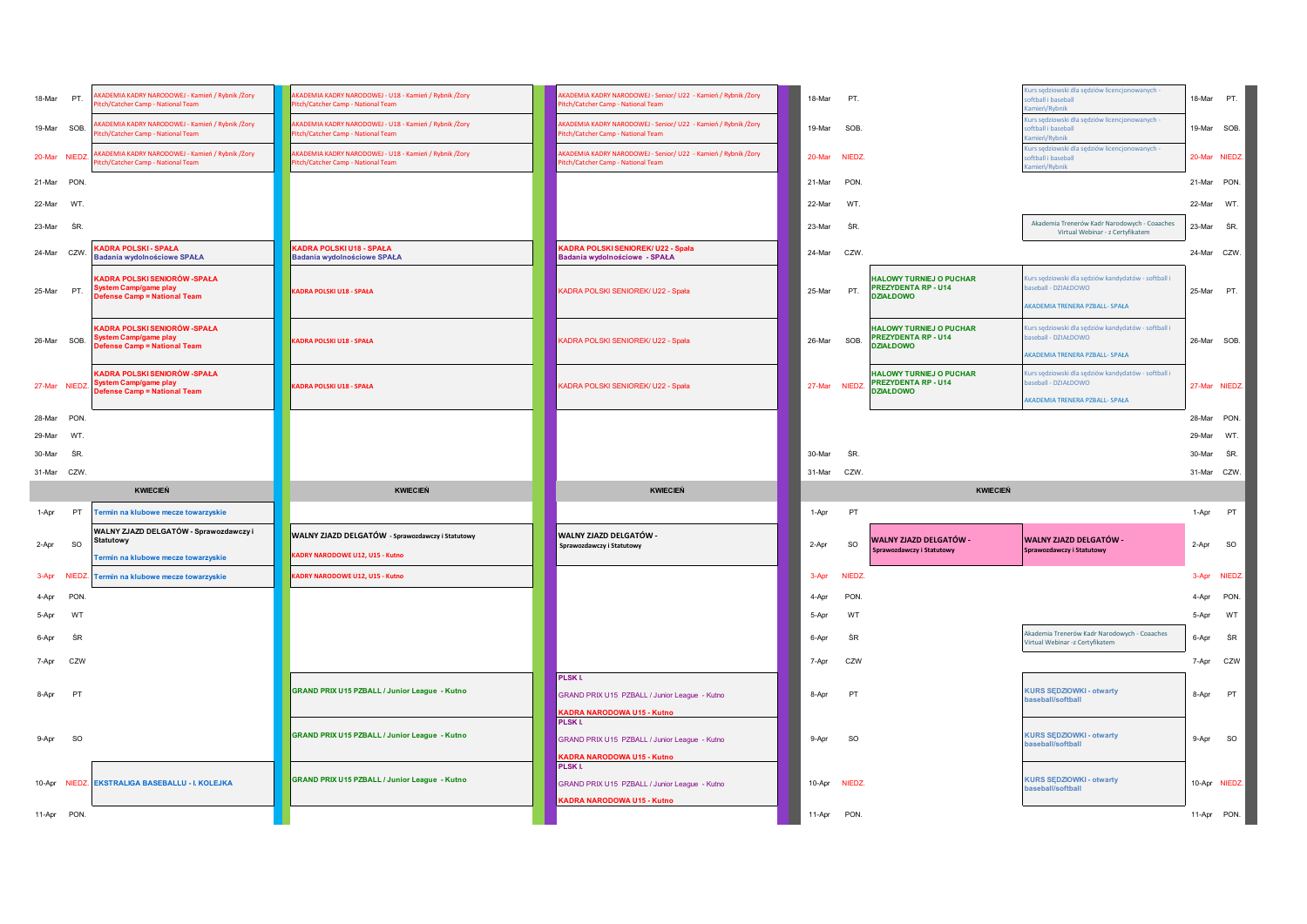| 18-Mar                | PT.            | KADEMIA KADRY NARODOWEJ - Kamień / Rybnik /Żory<br>tch/Catcher Camp - National Team                 | AKADEMIA KADRY NARODOWEJ - U18 - Kamień / Rybnik /Żory<br>itch/Catcher Camp - National Team | KADEMIA KADRY NARODOWEJ - Senior/ U22 - Kamień / Rybnik /Żory<br>litch/Catcher Camp - National Team  | 18-Mar      | PT.           |                                                                                  | Kurs sędziowski dla sędziów licencjonowanych<br>oftball i baseball<br>amień/Rybnik                           | 18-Mar PT.  |               |
|-----------------------|----------------|-----------------------------------------------------------------------------------------------------|---------------------------------------------------------------------------------------------|------------------------------------------------------------------------------------------------------|-------------|---------------|----------------------------------------------------------------------------------|--------------------------------------------------------------------------------------------------------------|-------------|---------------|
| 19-Mar SOB.           |                | (ADEMIA KADRY NARODOWEJ - Kamień / Rybnik /Żory<br>litch/Catcher Camp - National Team               | KADEMIA KADRY NARODOWEJ - U18 - Kamień / Rybnik /Żory<br>ltch/Catcher Camp - National Team  | AKADEMIA KADRY NARODOWEJ - Senior/ U22 - Kamień / Rybnik /Żory<br>Pitch/Catcher Camp - National Team | 19-Mar      | SOB.          |                                                                                  | Kurs sędziowski dla sędziów licencjonowanych -<br>oftball i baseball<br>amień/Rybnik                         | 19-Mar SOB. |               |
| 20-Mar NIEDZ.         |                | KADEMIA KADRY NARODOWEJ - Kamień / Rybnik /Żory<br>itch/Catcher Camp - National Team                | KADEMIA KADRY NARODOWEJ - U18 - Kamień / Rybnik /Żory<br>ltch/Catcher Camp - National Team  | AKADEMIA KADRY NARODOWEJ - Senior/ U22 - Kamień / Rybnik /Żory<br>Pitch/Catcher Camp - National Team |             | 20-Mar NIEDZ. |                                                                                  | Kurs sędziowski dla sędziów licencjonowanych -<br>oftball i baseball<br>amień/Rybnik                         |             | 20-Mar NIEDZ. |
| 21-Mar PON            |                |                                                                                                     |                                                                                             |                                                                                                      | 21-Mar      | PON.          |                                                                                  |                                                                                                              | 21-Mar PON. |               |
| 22-Mar                | WT.            |                                                                                                     |                                                                                             |                                                                                                      | 22-Mar      | WT.           |                                                                                  |                                                                                                              | 22-Mar WT.  |               |
| 23-Mar                | ŚR.            |                                                                                                     |                                                                                             |                                                                                                      | 23-Mar      | ŚR            |                                                                                  | Akademia Trenerów Kadr Narodowych - Coaaches<br>Virtual Webinar - z Certyfikatem                             | 23-Mar SR.  |               |
| 24-Mar CZW            |                | KADRA POLSKI - SPAŁA<br>Badania wydolnościowe SPAŁA                                                 | KADRA POLSKI U18 - SPAŁA<br><b>Badania wydolnościowe SPAŁA</b>                              | KADRA POLSKI SENIOREK/ U22 - Spała<br>Badania wydolnościowe - SPAŁA                                  | 24-Mar      | CZW.          |                                                                                  |                                                                                                              | 24-Mar CZW. |               |
| 25-Mar                | PT.            | KADRA POLSKI SENIORÓW -SPAŁA<br><b>System Camp/game play</b><br><b>Defense Camp = National Team</b> | KADRA POLSKI U18 - SPAŁA                                                                    | <b>KADRA POLSKI SENIOREK/ U22 - Spała</b>                                                            | 25-Mar      | PT.           | <b>HALOWY TURNIEJ O PUCHAR</b><br><b>PREZYDENTA RP - U14</b><br><b>DZIAŁDOWO</b> | Kurs sędziowski dla sędziów kandydatów - softball i<br>aseball - DZIAŁDOWO<br>AKADEMIA TRENERA PZBALL- SPAŁA | 25-Mar PT.  |               |
| 26-Mar SOB.           |                | KADRA POLSKI SENIORÓW -SPAŁA<br>System Camp/game play<br><b>Defense Camp = National Team</b>        | KADRA POLSKI U18 - SPAŁA                                                                    | <b>KADRA POLSKI SENIOREK/ U22 - Spała</b>                                                            | 26-Mar      | SOB.          | <b>HALOWY TURNIEJ O PUCHAR</b><br><b>PREZYDENTA RP - U14</b><br><b>DZIAŁDOWO</b> | Kurs sędziowski dla sędziów kandydatów - softball i<br>aseball - DZIAŁDOWO<br>AKADEMIA TRENERA PZBALL- SPAŁA | 26-Mar SOB. |               |
| 27-Mar NIEDZ.         |                | KADRA POLSKI SENIORÓW -SPAŁA<br><b>System Camp/game play</b><br>Defense Camp = National Team        | (ADRA POLSKI U18 - SPAŁA                                                                    | KADRA POLSKI SENIOREK/ U22 - Spała                                                                   |             | 27-Mar NIEDZ  | <b>HALOWY TURNIEJ O PUCHAR</b><br><b>PREZYDENTA RP - U14</b><br><b>DZIAŁDOWO</b> | Kurs sędziowski dla sędziów kandydatów - softball i<br>aseball - DZIAŁDOWO<br>AKADEMIA TRENERA PZBALL- SPAŁA |             | 27-Mar NIEDZ. |
| 28-Mar PON            |                |                                                                                                     |                                                                                             |                                                                                                      |             |               |                                                                                  |                                                                                                              | 28-Mar PON. |               |
| 29-Mar                | WT.            |                                                                                                     |                                                                                             |                                                                                                      |             |               |                                                                                  |                                                                                                              | 29-Mar      | WT.           |
|                       |                |                                                                                                     |                                                                                             |                                                                                                      |             |               |                                                                                  |                                                                                                              |             |               |
| 30-Mar                | ŚR.            |                                                                                                     |                                                                                             |                                                                                                      | 30-Mar      | ŚR.           |                                                                                  |                                                                                                              | 30-Mar SR.  |               |
| 31-Mar CZW            |                |                                                                                                     |                                                                                             |                                                                                                      | 31-Mar CZW. |               |                                                                                  |                                                                                                              | 31-Mar CZW. |               |
|                       |                | <b>KWIECIEŃ</b>                                                                                     | <b>KWIECIEŃ</b>                                                                             | <b>KWIECIEŃ</b>                                                                                      |             |               | <b>KWIECIEŃ</b>                                                                  |                                                                                                              |             |               |
| 1-Apr                 | PT             | Termin na klubowe mecze towarzyskie                                                                 |                                                                                             |                                                                                                      | 1-Apr       | PT            |                                                                                  |                                                                                                              | 1-Apr       | PT            |
| 2-Apr                 | <b>SO</b>      | WALNY ZJAZD DELGATÓW - Sprawozdawczy i<br><b>Statutowy</b>                                          | WALNY ZJAZD DELGATÓW - Sprawozdawczy i Statutowy<br>(ADRY NARODOWE U12, U15 - Kutno         | WALNY ZJAZD DELGATÓW -<br>Sprawozdawczy i Statutowy                                                  | 2-Apr       | <b>SO</b>     | WALNY ZJAZD DELGATÓW -<br>Sprawozdawczy i Statutowy                              | WALNY ZJAZD DELGATÓW -<br>Sprawozdawczy i Statutowy                                                          | 2-Apr       | SO            |
|                       |                | Termin na klubowe mecze towarzyskie                                                                 | KADRY NARODOWE U12, U15 - Kutno                                                             |                                                                                                      | 3-Apr       | <b>NIEDZ</b>  |                                                                                  |                                                                                                              |             | 3-Apr NIEDZ.  |
| 3-Apr NIEDZ.<br>4-Apr | PON            | Termin na klubowe mecze towarzyskie                                                                 |                                                                                             |                                                                                                      | 4-Apr       | PON.          |                                                                                  |                                                                                                              | 4-Apr       | PON.          |
| 5-Apr                 | WT             |                                                                                                     |                                                                                             |                                                                                                      | 5-Apr       | WT            |                                                                                  |                                                                                                              | 5-Apr       | WT            |
| 6-Apr                 | ŚR             |                                                                                                     |                                                                                             |                                                                                                      | 6-Apr       | ŚR            |                                                                                  | Akademia Trenerów Kadr Narodowych - Coaaches                                                                 | 6-Apr       | ŚR            |
| 7-Apr                 | CZW            |                                                                                                     |                                                                                             |                                                                                                      | 7-Apr       | CZW           |                                                                                  | Virtual Webinar -z Certyfikatem                                                                              | 7-Apr       | CZW           |
| 8-Apr                 | P <sub>1</sub> |                                                                                                     | GRAND PRIX U15 PZBALL / Junior League - Kutno                                               | <b>PLSKI.</b><br>GRAND PRIX U15 PZBALL / Junior League - Kutno<br><b>KADRA NARODOWA U15 - Kutno</b>  | 8-Apr       | PT            |                                                                                  | <b>KURS SEDZIOWKI - otwarty</b><br>baseball/softball                                                         | 8-Apr       | PT            |
| 9-Apr                 | <b>SO</b>      |                                                                                                     | GRAND PRIX U15 PZBALL / Junior League - Kutno                                               | PLSK I.<br>GRAND PRIX U15 PZBALL / Junior League - Kutno<br>KADRA NARODOWA U15 - Kutno               | 9-Apr       | <b>SO</b>     |                                                                                  | <b>KURS SĘDZIOWKI - otwarty</b><br>baseball/softball                                                         | 9-Apr       | SO            |
|                       |                | 10-Apr NIEDZ. EKSTRALIGA BASEBALLU - I. KOLEJKA                                                     | GRAND PRIX U15 PZBALL / Junior League - Kutno                                               | PLSK I.<br>GRAND PRIX U15 PZBALL / Junior League - Kutno<br><b>KADRA NARODOWA U15 - Kutno</b>        | 10-Apr      | NIEDZ.        |                                                                                  | <b>KURS SEDZIOWKI - otwarty</b><br>baseball/softball                                                         |             | 10-Apr NIEDZ. |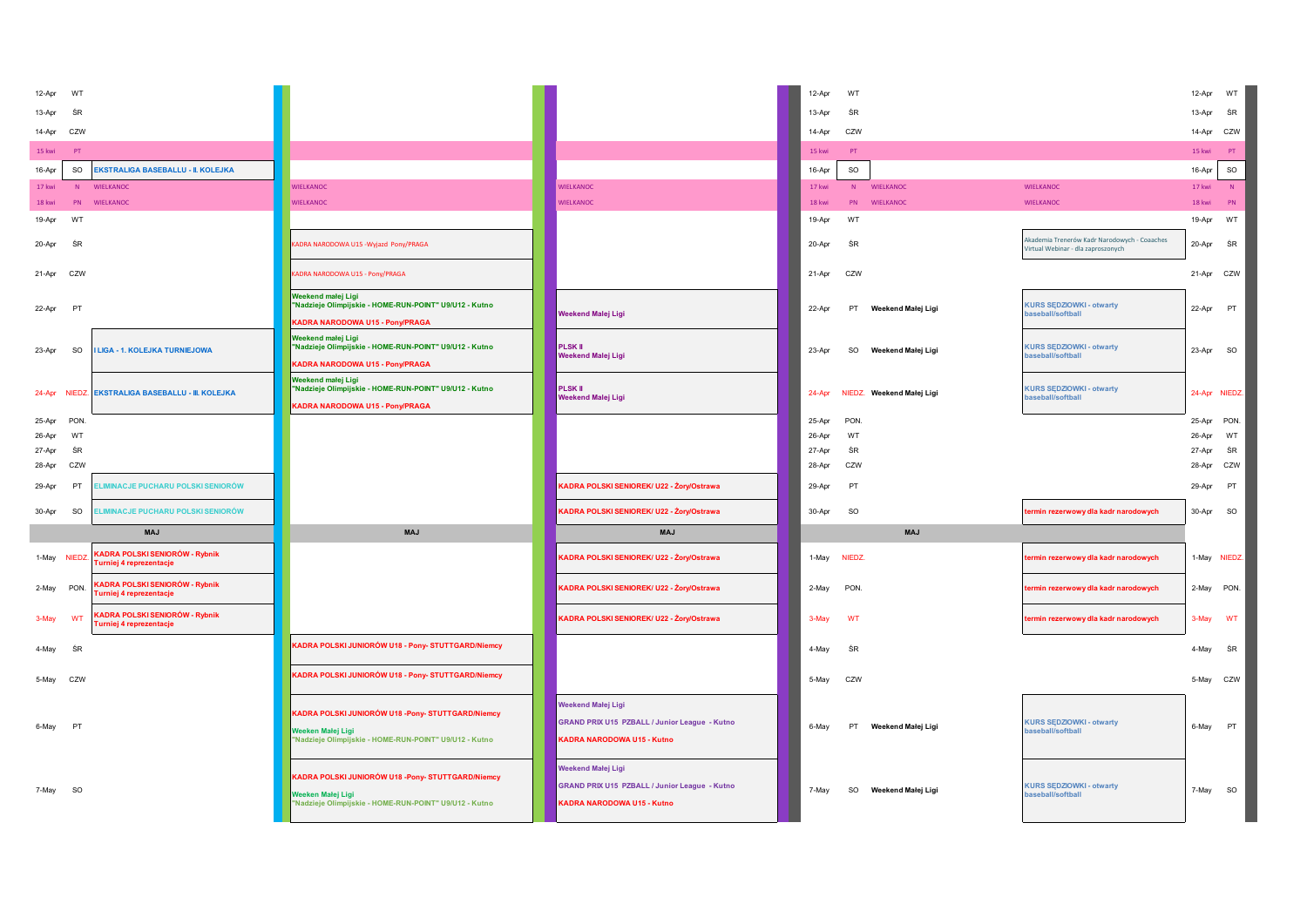| 12-Apr<br>WT                  |                                                                         |                                                                                                                                                                                                                                           |                                                                                                                 | 12-Apr           | WT        |                           |                                                                                    | 12-Apr           | WT        |
|-------------------------------|-------------------------------------------------------------------------|-------------------------------------------------------------------------------------------------------------------------------------------------------------------------------------------------------------------------------------------|-----------------------------------------------------------------------------------------------------------------|------------------|-----------|---------------------------|------------------------------------------------------------------------------------|------------------|-----------|
| 13-Apr<br>ŚF                  |                                                                         |                                                                                                                                                                                                                                           |                                                                                                                 | 13-Apr           | ŚR        |                           |                                                                                    | 13-Apr           | ŚR        |
| CZW<br>14-Apr                 |                                                                         |                                                                                                                                                                                                                                           |                                                                                                                 | 14-Apr           | CZW       |                           |                                                                                    | 14-Apr           | CZW       |
| 15 kwi<br>PT                  |                                                                         |                                                                                                                                                                                                                                           |                                                                                                                 | 15 kwi           | PT        |                           |                                                                                    | 15 kwi           | PT.       |
| SO<br>16-Apr                  | <b>EKSTRALIGA BASEBALLU - II. KOLEJKA</b>                               |                                                                                                                                                                                                                                           |                                                                                                                 | 16-Apr           | SO        |                           |                                                                                    | 16-Apr           | SO        |
| 17 kwi                        | N WIELKANOC                                                             | <b>WIELKANOC</b>                                                                                                                                                                                                                          | <b>WIELKANOC</b>                                                                                                | 17 kwi           |           | N WIELKANOC               | <b>WIELKANOC</b>                                                                   | 17 kwi           | N         |
| 18 kwi                        | PN WIELKANOC                                                            | <b>WIELKANOC</b>                                                                                                                                                                                                                          | <b>WIELKANOC</b>                                                                                                | 18 kwi           | PN        | WIELKANOC                 | <b>WIELKANOC</b>                                                                   | 18 kwi           | PN        |
| 19-Apr<br>WT                  |                                                                         |                                                                                                                                                                                                                                           |                                                                                                                 | 19-Apr           | WT        |                           |                                                                                    | 19-Apr           | WT        |
| ŚR<br>20-Apr                  |                                                                         | <adra -="" narodowa="" pony="" praga<="" td="" u15="" wyjazd=""><td></td><td>20-Apr</td><td>ŚR</td><td></td><td>Akademia Trenerów Kadr Narodowych - Coaaches<br/>Virtual Webinar - dla zaproszonych</td><td>20-Apr</td><td>ŚR</td></adra> |                                                                                                                 | 20-Apr           | ŚR        |                           | Akademia Trenerów Kadr Narodowych - Coaaches<br>Virtual Webinar - dla zaproszonych | 20-Apr           | ŚR        |
| 21-Apr CZW                    |                                                                         | <b>KADRA NARODOWA U15 - Pony/PRAGA</b>                                                                                                                                                                                                    |                                                                                                                 | 21-Apr           | CZW       |                           |                                                                                    | 21-Apr CZW       |           |
| 22-Apr<br>PT                  |                                                                         | Weekend małej Ligi<br>"Nadzieje Olimpijskie - HOME-RUN-POINT" U9/U12 - Kutno<br><b>KADRA NARODOWA U15 - Pony/PRAGA</b>                                                                                                                    | <b>Neekend Malej Ligi</b>                                                                                       | 22-Apr           | PT        | Weekend Małej Ligi        | <b>KURS SEDZIOWKI - otwarty</b><br>baseball/softball                               | 22-Apr PT        |           |
| 23-Apr<br><b>SO</b>           | <b>LIGA - 1. KOLEJKA TURNIEJOWA</b>                                     | Weekend małej Ligi<br>"Nadzieje Olimpijskie - HOME-RUN-POINT" U9/U12 - Kutno<br>KADRA NARODOWA U15 - Pony/PRAGA                                                                                                                           | <b>PLSK II</b><br>Weekend Malej Ligi                                                                            | 23-Apr           | SO        | Weekend Małej Ligi        | <b>KURS SEDZIOWKI - otwarty</b><br>baseball/softball                               | 23-Apr SO        |           |
|                               | 24-Apr NIEDZ. EKSTRALIGA BASEBALLU - III. KOLEJKA                       | Weekend małej Ligi<br>"Nadzieje Olimpijskie - HOME-RUN-POINT" U9/U12 - Kutno<br>KADRA NARODOWA U15 - Pony/PRAGA                                                                                                                           | <b>PLSK II</b><br>Weekend Malej Ligi                                                                            | 24-Apr           |           | NIEDZ. Weekend Małej Ligi | <b>KURS SEDZIOWKI - otwarty</b><br>baseball/softball                               | 24-Apr NIEDZ.    |           |
| <b>PON</b><br>25-Apr          |                                                                         |                                                                                                                                                                                                                                           |                                                                                                                 | 25-Apr           | PON       |                           |                                                                                    | 25-Apr PON.      |           |
| 26-Apr<br>WT                  |                                                                         |                                                                                                                                                                                                                                           |                                                                                                                 | 26-Apr           | WT        |                           |                                                                                    | 26-Apr           | WT        |
| ŚR<br>27-Apr<br>28-Apr<br>CZW |                                                                         |                                                                                                                                                                                                                                           |                                                                                                                 | 27-Apr<br>28-Apr | ŚR<br>CZW |                           |                                                                                    | 27-Apr<br>28-Apr | ŚR<br>CZW |
| 29-Apr<br>PT                  | <b>LIMINACJE PUCHARU POLSKI SENIORÓW</b>                                |                                                                                                                                                                                                                                           | KADRA POLSKI SENIOREK/ U22 - Żory/Ostrawa                                                                       | 29-Apr           | PT        |                           |                                                                                    | 29-Apr           | PT        |
| 30-Apr<br><b>SO</b>           | ELIMINACJE PUCHARU POLSKI SENIORÓW                                      |                                                                                                                                                                                                                                           | KADRA POLSKI SENIOREK/ U22 - Żory/Ostrawa                                                                       | 30-Apr           | SO        |                           | termin rezerwowy dla kadr narodowych                                               | $30-Apr$         | SO        |
|                               | <b>MAJ</b>                                                              | <b>MAJ</b>                                                                                                                                                                                                                                | <b>MAJ</b>                                                                                                      |                  |           | <b>MAJ</b>                |                                                                                    |                  |           |
| 1-May NIEDZ                   | <b>KADRA POLSKI SENIORÓW - Rybnik</b><br><b>Furniej 4 reprezentacje</b> |                                                                                                                                                                                                                                           | KADRA POLSKI SENIOREK/ U22 - Żory/Ostrawa                                                                       | 1-May            | NIEDZ.    |                           | termin rezerwowy dla kadr narodowych                                               | 1-May NIEDZ.     |           |
| 2-May PON.                    | <b>KADRA POLSKI SENIORÓW - Rybnik</b><br>Turniej 4 reprezentacje        |                                                                                                                                                                                                                                           | KADRA POLSKI SENIOREK/ U22 - Żory/Ostrawa                                                                       | 2-May            | PON.      |                           | termin rezerwowy dla kadr narodowych                                               | 2-May PON.       |           |
| WT<br>3-May                   | KADRA POLSKI SENIORÓW - Rybnik<br><b>Turniej 4 reprezentacje</b>        |                                                                                                                                                                                                                                           | KADRA POLSKI SENIOREK/ U22 - Żory/Ostrawa                                                                       | 3-May            | WT        |                           | termin rezerwowy dla kadr narodowych                                               | 3-May            | WT        |
| 4-May<br>ŚR                   |                                                                         | KADRA POLSKI JUNIORÓW U18 - Pony- STUTTGARD/Niemcy                                                                                                                                                                                        |                                                                                                                 | 4-May            | ŚR        |                           |                                                                                    | 4-May            | ŚR        |
| 5-May CZW                     |                                                                         | KADRA POLSKI JUNIORÓW U18 - Pony- STUTTGARD/Niemcy                                                                                                                                                                                        |                                                                                                                 | 5-May            | CZW       |                           |                                                                                    | 5-May CZW        |           |
| PT<br>6-May                   |                                                                         | KADRA POLSKI JUNIORÓW U18 -Pony- STUTTGARD/Niemcy<br>Weeken Małej Ligi<br>Nadzieje Olimpijskie - HOME-RUN-POINT" U9/U12 - Kutno                                                                                                           | <b>Weekend Małej Ligi</b><br>GRAND PRIX U15 PZBALL / Junior League - Kutno<br><b>KADRA NARODOWA U15 - Kutno</b> | 6-May            | PT        | Weekend Małej Ligi        | <b>KURS SEDZIOWKI - otwarty</b><br>baseball/softball                               | 6-May PT         |           |
| <b>SO</b><br>7-May            |                                                                         | KADRA POLSKI JUNIORÓW U18 -Pony- STUTTGARD/Niemcy<br>Weeken Małej Ligi<br>Nadzieje Olimpijskie - HOME-RUN-POINT" U9/U12 - Kutno                                                                                                           | Neekend Małej Ligi<br><b>GRAND PRIX U15 PZBALL / Junior League - Kutno</b><br>KADRA NARODOWA U15 - Kutno        | 7-May            | SO        | Weekend Małej Ligi        | <b>KURS SEDZIOWKI - otwarty</b><br>baseball/softball                               | 7-May            | SO        |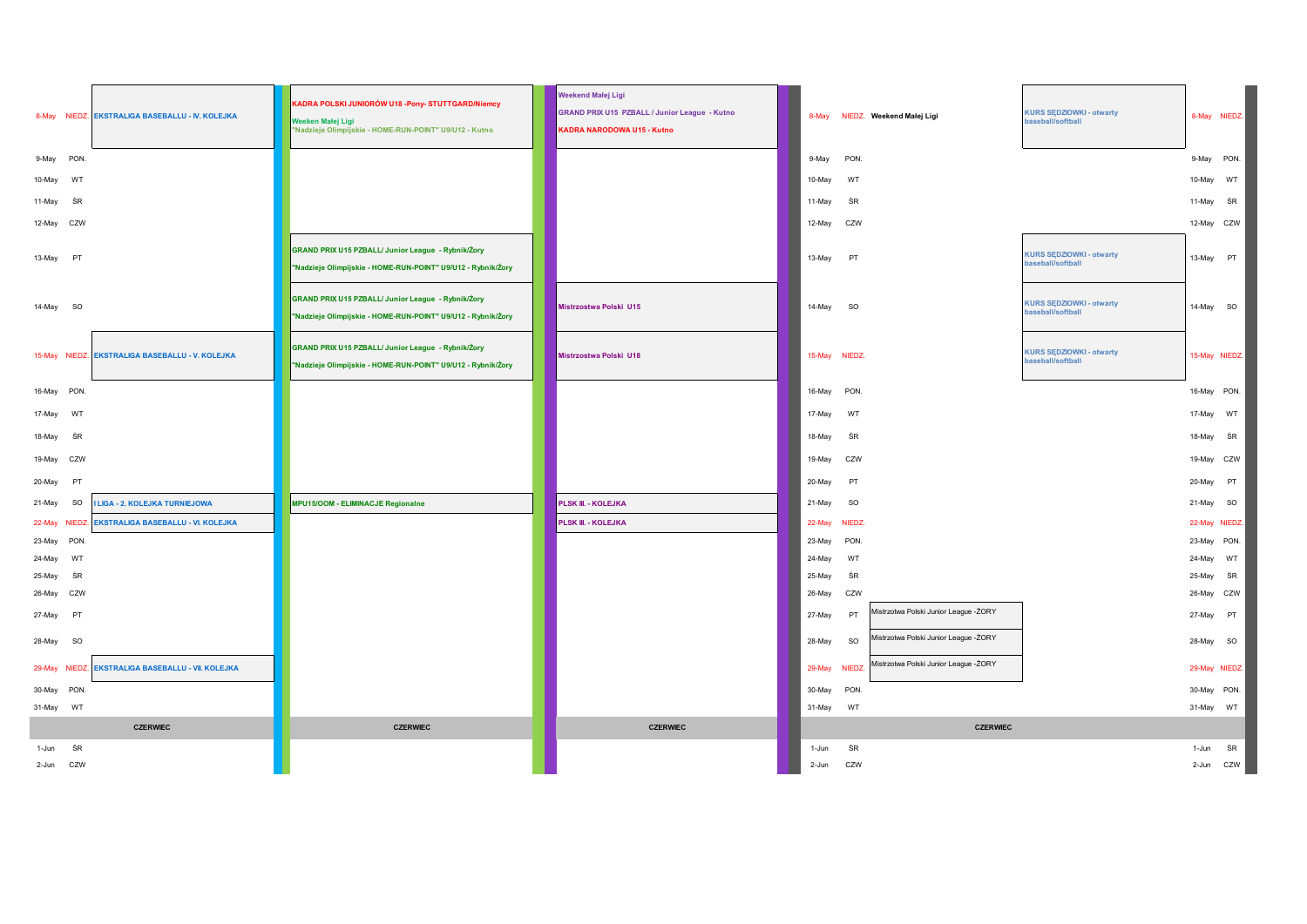|                               | 8-May NIEDZ. EKSTRALIGA BASEBALLU - IV. KOLEJKA | KADRA POLSKI JUNIORÓW U18 -Pony- STUTTGARD/Niemcy<br>Weeken Małej Ligi<br>"Nadzieje Olimpijskie - HOME-RUN-POINT" U9/U12 - Kutno | Weekend Małej Ligi<br><b>GRAND PRIX U15 PZBALL / Junior League - Kutno</b><br>KADRA NARODOWA U15 - Kutno |                  | 8-May NIEDZ. Weekend Małej Ligi                    | <b>KURS SEDZIOWKI - otwarty</b><br>baseball/softball | 8-May NIEDZ.         |    |
|-------------------------------|-------------------------------------------------|----------------------------------------------------------------------------------------------------------------------------------|----------------------------------------------------------------------------------------------------------|------------------|----------------------------------------------------|------------------------------------------------------|----------------------|----|
| 9-May<br>PON.                 |                                                 |                                                                                                                                  |                                                                                                          | 9-May            | PON.                                               |                                                      | 9-May PON.           |    |
| 10-May<br>WT                  |                                                 |                                                                                                                                  |                                                                                                          | 10-May           | WT                                                 |                                                      | 10-May               | WT |
| ŚR<br>11-May                  |                                                 |                                                                                                                                  |                                                                                                          | 11-May           | ŚR                                                 |                                                      | 11-May               | ŚR |
| CZW<br>12-May                 |                                                 |                                                                                                                                  |                                                                                                          | 12-May           | CZW                                                |                                                      | 12-May CZW           |    |
| 13-May<br>PT                  |                                                 | GRAND PRIX U15 PZBALL/ Junior League - Rybnik/Żory<br>"Nadzieje Olimpijskie - HOME-RUN-POINT" U9/U12 - Rybnik/Żory               |                                                                                                          | 13-May           | PT                                                 | <b>KURS SEDZIOWKI - otwarty</b><br>baseball/softball | 13-May               | PT |
| 14-May SO                     |                                                 | GRAND PRIX U15 PZBALL/ Junior League - Rybnik/Żory<br>"Nadzieje Olimpijskie - HOME-RUN-POINT" U9/U12 - Rybnik/Żory               | Mistrzostwa Polski U15                                                                                   | 14-May           | <b>SO</b>                                          | <b>KURS SĘDZIOWKI - otwarty</b><br>baseball/softball | 14-May SO            |    |
|                               | 15-May NIEDZ. EKSTRALIGA BASEBALLU - V. KOLEJKA | GRAND PRIX U15 PZBALL/ Junior League - Rybnik/Żory<br>"Nadzieje Olimpijskie - HOME-RUN-POINT" U9/U12 - Rybnik/Żory               | <b>Mistrzostwa Polski U18</b>                                                                            | 15-May NIEDZ.    |                                                    | <b>KURS SEDZIOWKI - otwarty</b><br>baseball/softball | 15-May NIEDZ.        |    |
| 16-May PON.                   |                                                 |                                                                                                                                  |                                                                                                          | 16-May           | PON.                                               |                                                      | 16-May PON.          |    |
| 17-May<br>WT                  |                                                 |                                                                                                                                  |                                                                                                          | 17-May           | WT                                                 |                                                      | 17-May               | WT |
| 18-May<br>ŚR                  |                                                 |                                                                                                                                  |                                                                                                          | 18-May           | ŚR                                                 |                                                      | 18-May               | ŚR |
| 19-May<br>CZW                 |                                                 |                                                                                                                                  |                                                                                                          | 19-May           | CZW                                                |                                                      | 19-May CZW           |    |
| 20-May<br>PT                  |                                                 |                                                                                                                                  |                                                                                                          | 20-May           | PT                                                 |                                                      | 20-May               | PT |
| 21-May<br><b>SO</b>           | <b>I LIGA - 2. KOLEJKA TURNIEJOWA</b>           | MPU15/OOM - ELIMINACJE Regionalne                                                                                                | <b>PLSK III. - KOLEJKA</b>                                                                               | 21-May           | <b>SO</b>                                          |                                                      | 21-May               | SO |
| 22-May NIEDZ                  | <b>EKSTRALIGA BASEBALLU - VI. KOLEJKA</b>       |                                                                                                                                  | PLSK III. - KOLEJKA                                                                                      | 22-May           | NIEDZ.                                             |                                                      | 22-May NIEDZ.        |    |
| PON.<br>23-May                |                                                 |                                                                                                                                  |                                                                                                          | 23-May           | PON.                                               |                                                      | 23-May PON.          |    |
| 24-May<br>WT                  |                                                 |                                                                                                                                  |                                                                                                          | 24-May           | WT                                                 |                                                      | 24-May               | WT |
| 25-May<br>ŚR<br>26-May<br>CZW |                                                 |                                                                                                                                  |                                                                                                          | 25-May<br>26-May | ŚR<br>CZW                                          |                                                      | 25-May<br>26-May CZW | ŚR |
| 27-May<br>PT                  |                                                 |                                                                                                                                  |                                                                                                          | 27-May           | Mistrzotwa Polski Junior League - ŻORY<br>PT       |                                                      | 27-May               | PT |
| 28-May<br><b>SO</b>           |                                                 |                                                                                                                                  |                                                                                                          | 28-May           | Mistrzotwa Polski Junior League -ŻORY<br><b>SO</b> |                                                      | 28-May SO            |    |
| 29-May NIEDZ.                 | EKSTRALIGA BASEBALLU - VII. KOLEJKA             |                                                                                                                                  |                                                                                                          | 29-May           | Mistrzotwa Polski Junior League - ŻORY<br>NIEDZ.   |                                                      | 29-May NIEDZ.        |    |
| 30-May PON.                   |                                                 |                                                                                                                                  |                                                                                                          | 30-May           | PON.                                               |                                                      | 30-May PON.          |    |
| 31-May WT                     |                                                 |                                                                                                                                  |                                                                                                          | 31-May           | WT                                                 |                                                      | 31-May WT            |    |
|                               | <b>CZERWIEC</b>                                 | <b>CZERWIEC</b>                                                                                                                  | <b>CZERWIEC</b>                                                                                          |                  | <b>CZERWIEC</b>                                    |                                                      |                      |    |
| ŚR<br>1-Jun                   |                                                 |                                                                                                                                  |                                                                                                          | 1-Jun            | ŚR                                                 |                                                      | 1-Jun                | ŚR |
| 2-Jun CZW                     |                                                 |                                                                                                                                  |                                                                                                          | 2-Jun            | CZW                                                |                                                      | 2-Jun CZW            |    |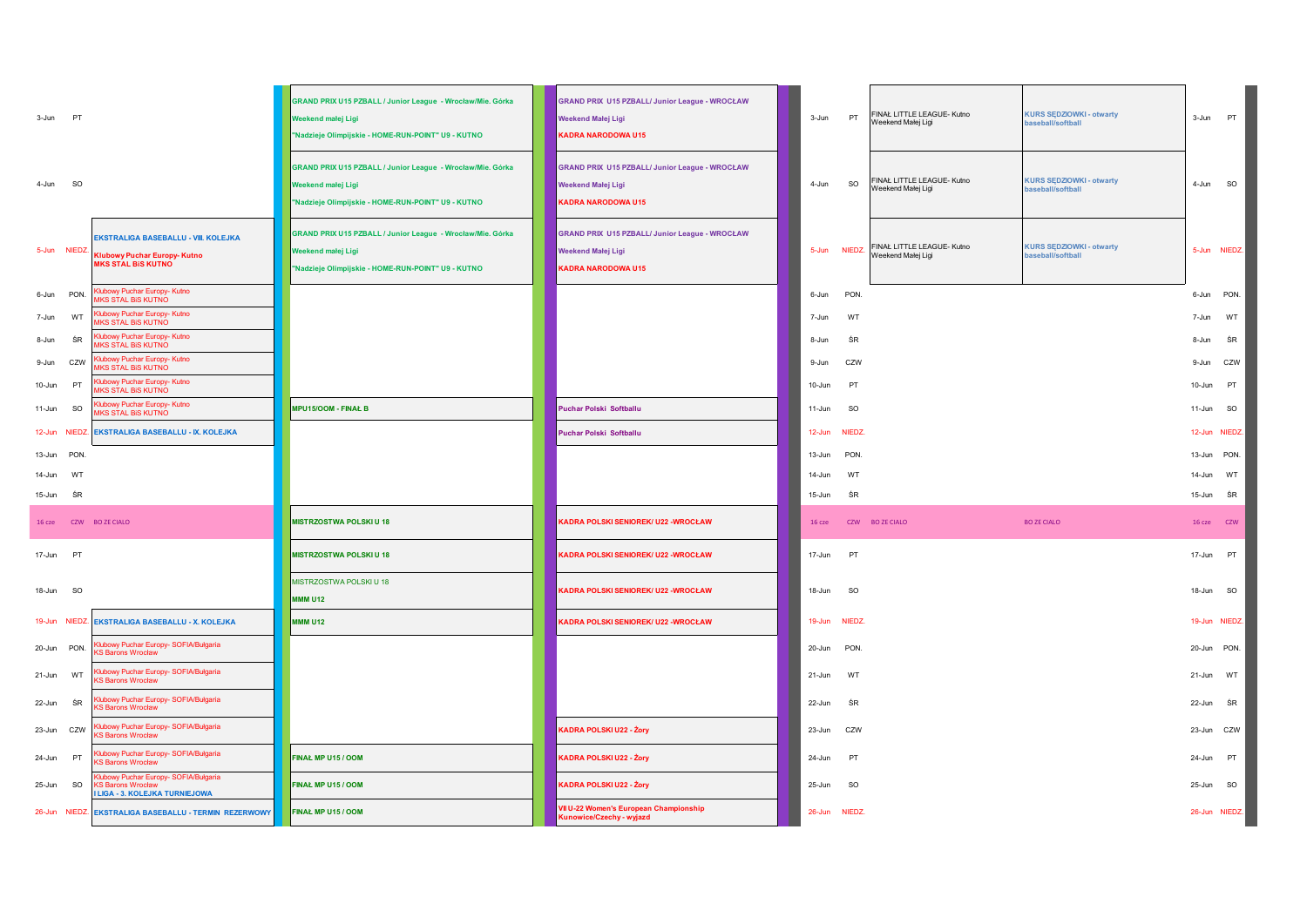| 3-Jun PT                     |                                                                                                                 | GRAND PRIX U15 PZBALL / Junior League - Wrocław/Mie. Górka<br>Weekend małei Ligi<br>"Nadzieje Olimpijskie - HOME-RUN-POINT" U9 - KUTNO | <b>GRAND PRIX U15 PZBALL/ Junior League - WROCŁAW</b><br><b>Weekend Małej Ligi</b><br><b>KADRA NARODOWA U15</b> | 3-Jun            | PT            | FINAŁ LITTLE LEAGUE- Kutno<br>Weekend Małej Ligi | <b>KURS SEDZIOWKI - otwarty</b><br>baseball/softball | 3-Jun                  | <b>PT</b>     |
|------------------------------|-----------------------------------------------------------------------------------------------------------------|----------------------------------------------------------------------------------------------------------------------------------------|-----------------------------------------------------------------------------------------------------------------|------------------|---------------|--------------------------------------------------|------------------------------------------------------|------------------------|---------------|
| <b>SO</b><br>4-Jun           |                                                                                                                 | GRAND PRIX U15 PZBALL / Junior League - Wrocław/Mie. Górka<br>Weekend małej Ligi<br>"Nadzieje Olimpijskie - HOME-RUN-POINT" U9 - KUTNO | <b>GRAND PRIX U15 PZBALL/ Junior League - WROCŁAW</b><br><b>Weekend Małej Ligi</b><br><b>KADRA NARODOWA U15</b> | 4-Jun            | SO            | FINAŁ LITTLE LEAGUE- Kutno<br>Weekend Małej Ligi | <b>KURS SEDZIOWKI - otwarty</b><br>baseball/softball | 4-Jun                  | <b>SO</b>     |
| 5-Jun NIEDZ.                 | <b>EKSTRALIGA BASEBALLU - VIII. KOLEJKA</b><br><b>Klubowy Puchar Europy- Kutno</b><br><b>MKS STAL BIS KUTNO</b> | GRAND PRIX U15 PZBALL / Junior League - Wrocław/Mie. Górka<br>Weekend małej Ligi<br>"Nadzieje Olimpijskie - HOME-RUN-POINT" U9 - KUTNO | <b>GRAND PRIX U15 PZBALL/ Junior League - WROCŁAW</b><br><b>Weekend Małej Ligi</b><br>KADRA NARODOWA U15        | 5-Jun            | <b>NIEDZ</b>  | FINAŁ LITTLE LEAGUE- Kutno<br>Weekend Małej Ligi | <b>KURS SEDZIOWKI - otwarty</b><br>baseball/softball |                        | 5-Jun NIEDZ.  |
| 6-Jun PON.                   | <b>Klubowy Puchar Europy- Kutno</b><br><b><i>IKS STAL BIS KUTNO</i></b>                                         |                                                                                                                                        |                                                                                                                 | 6-Jun            | PON.          |                                                  |                                                      |                        | 6-Jun PON.    |
| WT<br>7-Jun                  | Jubowy Puchar Europy- Kutno<br><b>MKS STAL BIS KUTNO</b>                                                        |                                                                                                                                        |                                                                                                                 | 7-Jun            | WT            |                                                  |                                                      | 7-Jun                  | WT            |
| ŚR<br>8-Jun                  | lubowy Puchar Europy- Kutno<br><b>IKS STAL BIS KUTNO</b>                                                        |                                                                                                                                        |                                                                                                                 | 8-Jun            | ŚR            |                                                  |                                                      | 8-Jun                  | ŚR            |
| 9-Jun CZW                    | lubowy Puchar Europy- Kutno<br><b><i>IKS STAL BIS KUTNO</i></b>                                                 |                                                                                                                                        |                                                                                                                 | 9-Jun            | CZW           |                                                  |                                                      | 9-Jun                  | CZW           |
| 10-Jun PT                    | <b>Klubowy Puchar Europy- Kutno</b><br><b>MKS STAL BIS KUTNO</b><br>Jubowy Puchar Europy- Kutno                 |                                                                                                                                        |                                                                                                                 | 10-Jun           | PT            |                                                  |                                                      | 10-Jun                 | PT            |
| 11-Jun<br>SO                 | <b><i>IKS STAL BIS KUTNO</i></b>                                                                                | <b>MPU15/OOM - FINAL B</b>                                                                                                             | Puchar Polski Softballu                                                                                         | 11-Jun           | <b>SO</b>     |                                                  |                                                      | 11-Jun                 | <b>SO</b>     |
|                              | 12-Jun NIEDZ. EKSTRALIGA BASEBALLU - IX. KOLEJKA                                                                |                                                                                                                                        | Puchar Polski Softballu                                                                                         | $12 - Jun$       | <b>NIEDZ</b>  |                                                  |                                                      |                        | 12-Jun NIEDZ. |
| 13-Jun PON                   |                                                                                                                 |                                                                                                                                        |                                                                                                                 | 13-Jun           | PON.          |                                                  |                                                      | 13-Jun PON.            |               |
| 14-Jun<br>WT<br>15-Jun<br>ŚR |                                                                                                                 |                                                                                                                                        |                                                                                                                 | 14-Jun<br>15-Jun | WT<br>ŚR      |                                                  |                                                      | 14-Jun WT<br>15-Jun SR |               |
| 16 cze                       | CZW BOZE CIALO                                                                                                  | MISTRZOSTWA POLSKI U 18                                                                                                                | <b>KADRA POLSKI SENIOREK/ U22 -WROCŁAW</b>                                                                      | 16 cze           |               | CZW BOZE CIALO                                   | <b>BO ZE CIALO</b>                                   |                        | 16 cze CZW    |
| 17-Jun PT                    |                                                                                                                 | <b>MISTRZOSTWA POLSKI U 18</b>                                                                                                         | <b>KADRA POLSKI SENIOREK/ U22 - WROCŁAW</b>                                                                     | 17-Jun           | PT            |                                                  |                                                      | 17-Jun PT              |               |
| 18-Jun SO                    |                                                                                                                 | MISTRZOSTWA POLSKI U 18<br><b>MMM U12</b>                                                                                              | <b>KADRA POLSKI SENIOREK/ U22 -WROCŁAW</b>                                                                      | 18-Jun           | <b>SO</b>     |                                                  |                                                      | 18-Jun SO              |               |
| 19-Jun NIEDZ                 | <b>EKSTRALIGA BASEBALLU - X. KOLEJKA</b>                                                                        | <b>MMM U12</b>                                                                                                                         | <b>KADRA POLSKI SENIOREK/ U22 -WROCŁAW</b>                                                                      | 19-Jun           | NIEDZ.        |                                                  |                                                      |                        | 19-Jun NIEDZ. |
| 20-Jun PON.                  | Klubowy Puchar Europy- SOFIA/Bułgaria<br><b>KS Barons Wrocław</b>                                               |                                                                                                                                        |                                                                                                                 | 20-Jun           | PON.          |                                                  |                                                      | 20-Jun PON.            |               |
| 21-Jun<br>WT                 | Klubowy Puchar Europy- SOFIA/Bułgaria<br><b>KS Barons Wrocław</b>                                               |                                                                                                                                        |                                                                                                                 | 21-Jun           | WT            |                                                  |                                                      | 21-Jun                 | WT            |
| 22-Jun ŚR                    | Klubowy Puchar Europy- SOFIA/Bułgaria<br><b>KS Barons Wrocław</b>                                               |                                                                                                                                        |                                                                                                                 | 22-Jun           | ŚR            |                                                  |                                                      | 22-Jun ŚR              |               |
| 23-Jun CZW                   | Klubowy Puchar Europy- SOFIA/Bułgaria<br>S Barons Wrocław                                                       |                                                                                                                                        | KADRA POLSKI U22 - Żory                                                                                         | 23-Jun           | CZW           |                                                  |                                                      | 23-Jun CZW             |               |
| 24-Jun PT                    | Klubowy Puchar Europy- SOFIA/Bułgaria<br><b>S Barons Wrocław</b>                                                | FINAL MP U15 / OOM                                                                                                                     | KADRA POLSKI U22 - Żory                                                                                         | 24-Jun           | PT            |                                                  |                                                      | 24-Jun PT              |               |
| 25-Jun SO                    | Klubowy Puchar Europy- SOFIA/Bułgaria<br><b>S Barons Wrocław</b><br><b>LIGA - 3. KOLEJKA TURNIEJOWA</b>         | FINAŁ MP U15 / OOM                                                                                                                     | <b>KADRA POLSKI U22 - Żory</b>                                                                                  | 25-Jun           | <b>SO</b>     |                                                  |                                                      | 25-Jun                 | <b>SO</b>     |
|                              | 26-Jun NIEDZ. EKSTRALIGA BASEBALLU - TERMIN REZERWOWY                                                           | FINAŁ MP U15 / OOM                                                                                                                     | VII U-22 Women's European Championship<br><b>Kunowice/Czechy - wyjazd</b>                                       |                  | 26-Jun NIEDZ. |                                                  |                                                      |                        | 26-Jun NIEDZ. |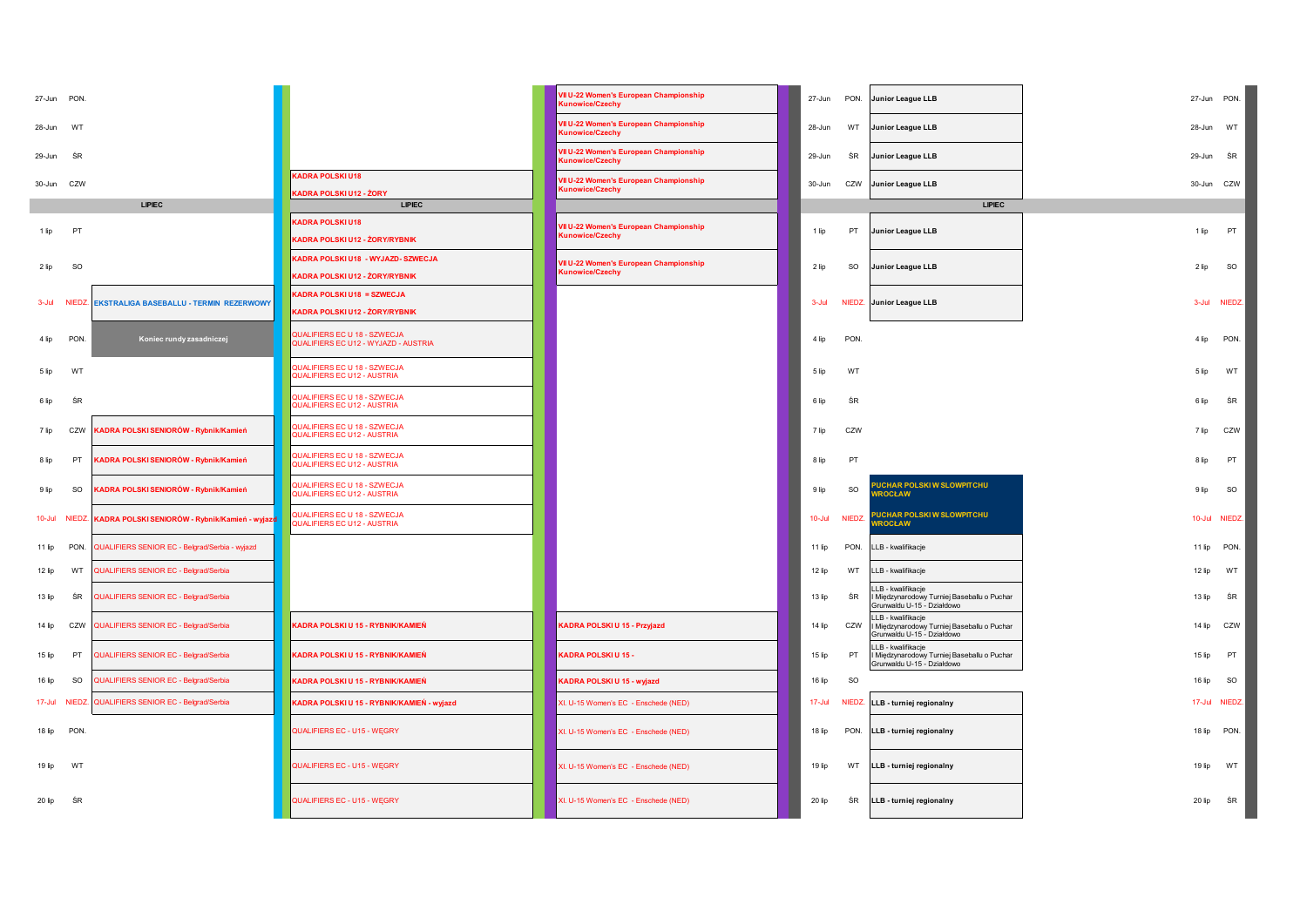| 27-Jun PON. |                                                                |                                                                      | Il U-22 Women's European Championship<br>unowice/Czechy          | 27-Jun     | PON.      | <b>Junior League LLB</b>                                                                            | 27-Jun<br>PON.      |  |
|-------------|----------------------------------------------------------------|----------------------------------------------------------------------|------------------------------------------------------------------|------------|-----------|-----------------------------------------------------------------------------------------------------|---------------------|--|
| 28-Jun      | WT                                                             |                                                                      | VII U-22 Women's European Championship<br>Kunowice/Czechy        | 28-Jun     | WT        | Junior League LLB                                                                                   | 28-Jun WT           |  |
| 29-Jun      | ŚR                                                             |                                                                      | VII U-22 Women's European Championship<br><b>Cunowice/Czechy</b> | 29-Jun     | ŚR        | <b>Junior League LLB</b>                                                                            | ŚR<br>29-Jun        |  |
|             |                                                                | <b>KADRA POLSKI U18</b>                                              | VII U-22 Women's European Championship                           | 30-Jun     |           |                                                                                                     | 30-Jun CZW          |  |
| 30-Jun CZW  |                                                                | KADRA POLSKI U12 - ŻORY                                              | <b>Cunowice/Czechy</b>                                           |            | CZW       | <b>Junior League LLB</b>                                                                            |                     |  |
|             | <b>LIPIEC</b>                                                  | <b>LIPIEC</b>                                                        |                                                                  |            |           | <b>LIPIEC</b>                                                                                       |                     |  |
| 1 lip       | PT                                                             | <b>KADRA POLSKI U18</b><br>KADRA POLSKI U12 - ŻORY/RYBNIK            | VII U-22 Women's European Championship<br><b>Kunowice/Czechy</b> | 1 lip      | PT        | Junior League LLB                                                                                   | PT<br>1 lip         |  |
| 2 lip       | <b>SO</b>                                                      | KADRA POLSKI U18 - WYJAZD- SZWECJA<br>KADRA POLSKI U12 - ŻORY/RYBNIK | /Il U-22 Women's European Championship<br><b>Cunowice/Czechy</b> | 2 lip      | SO        | <b>Junior League LLB</b>                                                                            | SO<br>2 lip         |  |
| 3-Jul       | <b>NIEDZ</b><br><b>EKSTRALIGA BASEBALLU - TERMIN REZERWOWY</b> | KADRA POLSKI U18 = SZWECJA<br>KADRA POLSKI U12 - ŻORY/RYBNIK         |                                                                  | 3-Jul      |           | NIEDZ. Junior League LLB                                                                            | 3-Jul NIEDZ.        |  |
| 4 lip       | Koniec rundy zasadniczej<br><b>PON</b>                         | QUALIFIERS EC U 18 - SZWECJA<br>QUALIFIERS EC U12 - WYJAZD - AUSTRIA |                                                                  | 4 lip      | PON.      |                                                                                                     | PON.<br>4 lip       |  |
| 5 lip       | WT                                                             | QUALIFIERS EC U 18 - SZWECJA<br>QUALIFIERS EC U12 - AUSTRIA          |                                                                  | 5 lip      | WT        |                                                                                                     | 5 lip<br>WT         |  |
| 6 lip       | ŚR                                                             | QUALIFIERS EC U 18 - SZWECJA<br>QUALIFIERS EC U12 - AUSTRIA          |                                                                  | 6 lip      | ŚR        |                                                                                                     | ŚR<br>6 lip         |  |
| 7 lip       | ADRA POLSKI SENIORÓW - Rybnik/Kamień<br>CZW                    | QUALIFIERS EC U 18 - SZWECJA<br>QUALIFIERS EC U12 - AUSTRIA          |                                                                  | 7 lip      | CZW       |                                                                                                     | 7 lip<br>CZW        |  |
| 8 lip       | PT<br>ADRA POLSKI SENIORÓW - Rybnik/Kamień                     | QUALIFIERS EC U 18 - SZWECJA<br>QUALIFIERS EC U12 - AUSTRIA          |                                                                  | 8 lip      | PT        |                                                                                                     | PT<br>8 lip         |  |
| 9 lip       | SO<br>ADRA POLSKI SENIORÓW - Rybnik/Kamień                     | QUALIFIERS EC U 18 - SZWECJA<br>QUALIFIERS EC U12 - AUSTRIA          |                                                                  | 9 lip      | <b>SO</b> | <b>UCHAR POLSKI W SLOWPITCHU</b><br><b>ROCŁAW</b>                                                   | <b>SO</b><br>9 lip  |  |
| $10 -$ Jul  | KADRA POLSKI SENIORÓW - Rybnik/Kamień - wyjazd<br><b>NIEDZ</b> | QUALIFIERS EC U 18 - SZWECJA<br>QUALIFIERS EC U12 - AUSTRIA          |                                                                  | $10 -$ Jul | NIEDZ.    | PUCHAR POLSKI W SLOWPITCHU<br><b>ROCŁAW</b>                                                         | 10-Jul NIEDZ.       |  |
| $11$ lip    | PON.<br>QUALIFIERS SENIOR EC - Belgrad/Serbia - wyjazd         |                                                                      |                                                                  | 11 lip     | PON.      | LLB - kwalifikacje                                                                                  | 11 lip PON.         |  |
| 12 lip      | WT<br>QUALIFIERS SENIOR EC - Belgrad/Serbia                    |                                                                      |                                                                  | 12 lip     | WT        | LLB - kwalifikacje                                                                                  | 12 lip<br>WT        |  |
| 13 lip      | ŚR<br>QUALIFIERS SENIOR EC - Belgrad/Serbia                    |                                                                      |                                                                  | 13 lip     | ŚR        | LLB - kwalifikacje<br>I Międzynarodowy Turniej Baseballu o Puchar<br>Grunwaldu U-15 - Działdowo     | ŚR<br>13 lip        |  |
| $14$ lip    | CZW<br>QUALIFIERS SENIOR EC - Belgrad/Serbia                   | KADRA POLSKI U 15 - RYBNIK/KAMIEŃ                                    | KADRA POLSKI U 15 - Przyjazd                                     | 14 lip     |           | LLB - kwalifikacje<br>CZW I Międzynarodowy Turniej Baseballu o Puchar<br>Grunwaldu U-15 - Działdowo | 14 lip CZW          |  |
| 15 lip      | PT<br>QUALIFIERS SENIOR EC - Belgrad/Serbia                    | KADRA POLSKI U 15 - RYBNIK/KAMIEŃ                                    | KADRA POLSKI U 15 -                                              | 15 lip     | PT        | LLB - kwalifikacje<br>I Międzynarodowy Turniej Baseballu o Puchar<br>Grunwaldu U-15 - Działdowo     | 15 lip<br>PT        |  |
| 16 lip      | QUALIFIERS SENIOR EC - Belgrad/Serbia<br>SO                    | KADRA POLSKI U 15 - RYBNIK/KAMIEŃ                                    | KADRA POLSKI U 15 - wyjazd                                       | 16 lip     | <b>SO</b> |                                                                                                     | 16 lip<br><b>SO</b> |  |
| 17-Jul      | QUALIFIERS SENIOR EC - Belgrad/Serbia<br><b>NIEDZ</b>          | KADRA POLSKI U 15 - RYBNIK/KAMIEŃ - wyjazd                           | XI. U-15 Women's EC - Enschede (NED)                             | 17-Jul     |           | NIEDZ. LLB - turniej regionalny                                                                     | 17-Jul NIEDZ.       |  |
| 18 lip      | <b>PON</b>                                                     | QUALIFIERS EC - U15 - WEGRY                                          | XI. U-15 Women's EC - Enschede (NED)                             | 18 lip     | PON.      | LLB - turniej regionalny                                                                            | 18 lip PON.         |  |
| 19 lip      | WT                                                             | QUALIFIERS EC - U15 - WEGRY                                          | XI. U-15 Women's EC - Enschede (NED)                             | 19 lip     | WT        | LLB - turniej regionalny                                                                            | 19 lip<br>WT        |  |
| 20 lip      | ŚR                                                             | QUALIFIERS EC - U15 - WEGRY                                          | XI. U-15 Women's EC - Enschede (NED)                             | 20 lip     | ŚR        | LLB - turniej regionalny                                                                            | 20 lip<br>ŚR        |  |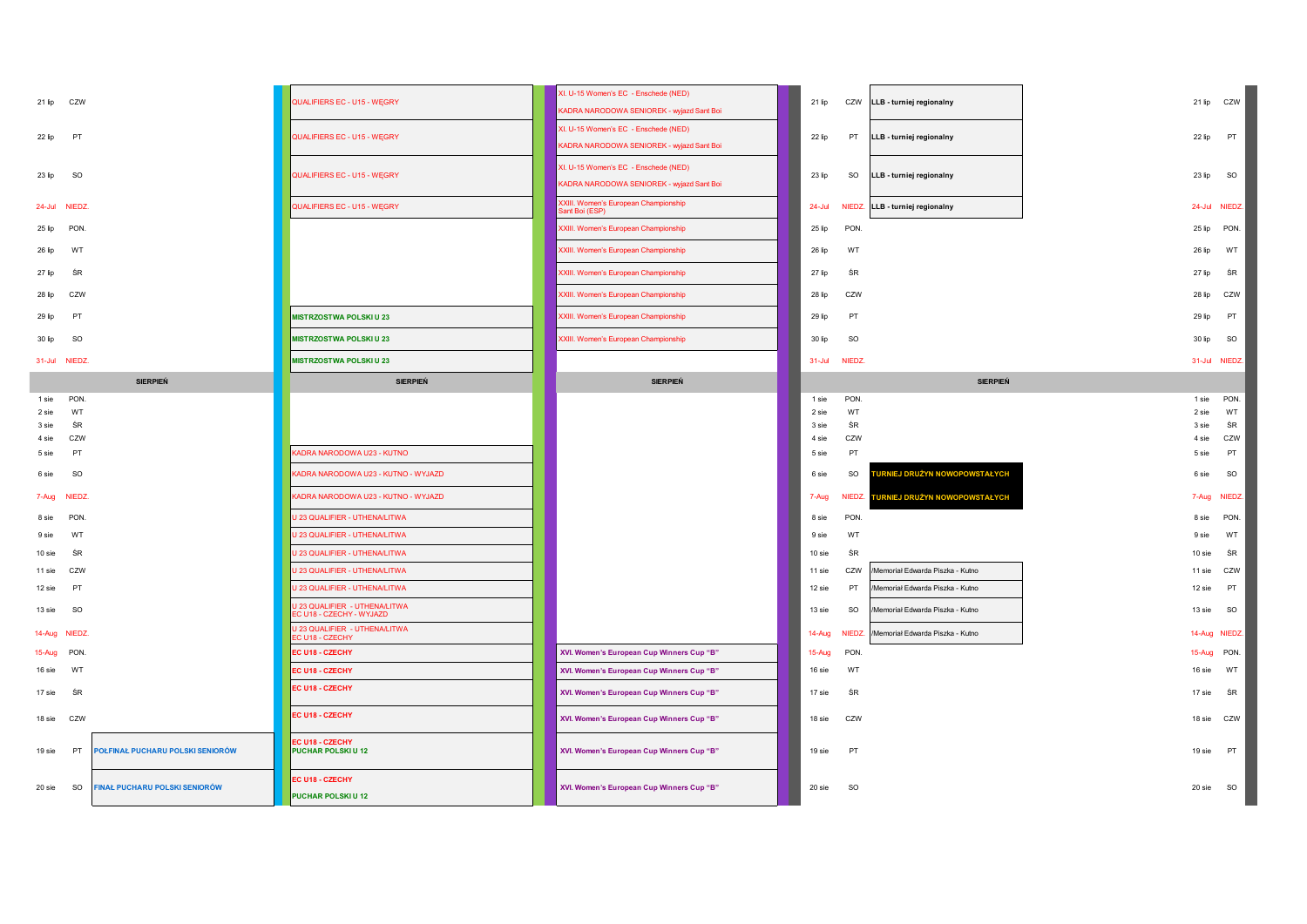| 21 lip CZW                                              | QUALIFIERS EC - U15 - WEGRY                              | XI. U-15 Women's EC - Enschede (NED)<br>KADRA NARODOWA SENIOREK - wyjazd Sant Boi | CZW<br>21 lip<br>LLB - turniej regionalny               | 21 lip CZW            |
|---------------------------------------------------------|----------------------------------------------------------|-----------------------------------------------------------------------------------|---------------------------------------------------------|-----------------------|
| PT<br>22 lip                                            | QUALIFIERS EC - U15 - WEGRY                              | XI. U-15 Women's EC - Enschede (NED)<br>KADRA NARODOWA SENIOREK - wyjazd Sant Boi | 22 lip<br>PT<br>LLB - turniej regionalny                | PT<br>22 lip          |
| SO<br>23 lip                                            | QUALIFIERS EC - U15 - WEGRY                              | XI. U-15 Women's EC - Enschede (NED)<br>KADRA NARODOWA SENIOREK - wyjazd Sant Boi | 23 lip<br>SO<br>LLB - turniej regionalny                | 23 lip<br>SO          |
| 24-Jul NIEDZ.                                           | QUALIFIERS EC - U15 - WĘGRY                              | XXIII. Women's European Championship<br>Sant Boi (ESP)                            | $24 -$ Jul<br>NIEDZ. LLB - turniej regionalny           | 24-Jul NIEDZ          |
| 25 lip<br><b>PON</b>                                    |                                                          | XXIII. Women's European Championship                                              | PON.<br>25 lip                                          | PON.<br>$25$ lip      |
| WT<br>26 lip                                            |                                                          | <b>XXIII. Women's European Championship</b>                                       | 26 lip<br>WT                                            | 26 lip<br>WT          |
| 27 lip<br>ŚR                                            |                                                          | <b>XXIII. Women's European Championship</b>                                       | 27 lip<br>ŚR                                            | ŚR<br>27 lip          |
| 28 lip<br>CZW                                           |                                                          | XXIII. Women's European Championship                                              | CZW<br>28 lip                                           | CZW<br>28 lip         |
| <b>PT</b><br>29 lip                                     | <b>MISTRZOSTWA POLSKI U 23</b>                           | XXIII. Women's European Championship                                              | PT<br>29 lip                                            | <b>PT</b><br>29 lin   |
| <b>SO</b><br>30 lip                                     | <b>MISTRZOSTWA POLSKI U 23</b>                           | XXIII. Women's European Championship                                              | SO<br>30 lip                                            | SO<br>30 lip          |
| 31-Jul NIEDZ.                                           | <b>MISTRZOSTWA POLSKI U 23</b>                           |                                                                                   | 31-Jul NIEDZ.                                           | 31-Jul NIEDZ          |
| <b>SIERPIEŃ</b>                                         | <b>SIERPIEŃ</b>                                          | <b>SIERPIEŃ</b>                                                                   | <b>SIERPIEŃ</b>                                         |                       |
| PON.<br>1 sie                                           |                                                          |                                                                                   | PON.<br>1 sie                                           | PON.<br>1 sie         |
| WT<br>2 sie                                             |                                                          |                                                                                   | WT<br>2 sie                                             | WT<br>2 sie           |
| ŚR<br>3 sie                                             |                                                          |                                                                                   | ŚR<br>3 sie                                             | ŚR<br>3 sie           |
| 4 sie<br>CZW                                            |                                                          |                                                                                   | CZW<br>4 sie                                            | CZW<br>4 sie          |
| PT<br>5 sie                                             | KADRA NARODOWA U23 - KUTNO                               |                                                                                   | PT<br>5 sie                                             | PT<br>5 sie           |
| SO<br>6 sie                                             | KADRA NARODOWA U23 - KUTNO - WYJAZD                      |                                                                                   | <b>IRNIEJ DRUŻYN NOWOPOWSTAŁYCH</b><br>SO<br>6 sie      | SO<br>6 sie           |
| 7-Aug NIEDZ.                                            | KADRA NARODOWA U23 - KUTNO - WYJAZD                      |                                                                                   | NIEDZ.<br>TURNIEJ DRUŻYN NOWOPOWSTAŁYCH<br>7-Aug        | <b>NIEDZ</b><br>7-Aug |
| PON<br>8 sie                                            | U 23 QUALIFIER - UTHENA/LITWA                            |                                                                                   | PON.<br>8 sie                                           | PON.<br>8 sie         |
| WT<br>9 sie                                             | U 23 QUALIFIER - UTHENA/LITWA                            |                                                                                   | WT<br>9 sie                                             | WT<br>9 sie           |
| ŚR<br>10 sie                                            | <b>U 23 QUALIFIER - UTHENA/LITWA</b>                     |                                                                                   | ŚR<br>$10$ sie                                          | ŚR<br>10 sie          |
| CZW<br>11 sie                                           | J 23 QUALIFIER - UTHENA/LITWA                            |                                                                                   | 11 sie<br>CZW<br>/Memoriał Edwarda Piszka - Kutno       | 11 sie<br>CZW         |
| PT<br>12 sie                                            | U 23 QUALIFIER - UTHENA/LITWA                            |                                                                                   | PT<br>/Memoriał Edwarda Piszka - Kutno<br>12 sie        | PT<br>12 sie          |
| <b>SO</b><br>13 sie                                     | U 23 QUALIFIER - UTHENA/LITWA<br>C U18 - CZECHY - WYJAZD |                                                                                   | 13 sie<br><b>SO</b><br>/Memoriał Edwarda Piszka - Kutno | 13 sie<br><b>SO</b>   |
| 14-Aug NIEDZ                                            | U 23 QUALIFIER - UTHENA/LITWA<br>EC U18 - CZECHY         |                                                                                   | NIEDZ.<br>/Memoriał Edwarda Piszka - Kutno<br>14-Aug    | 14-Aug NIEDZ          |
| 15-Aug PON                                              | EC U18 - CZECHY                                          | XVI. Women's European Cup Winners Cup "B"                                         | 15-Aug<br><b>PON</b>                                    | 15-Aug PON.           |
| 16 sie<br>WT                                            | EC U18 - CZECHY                                          | XVI. Women's European Cup Winners Cup "B"                                         | WT<br>16 sie                                            | WT<br>16 sie          |
| ŚR<br>17 sie                                            | EC U18 - CZECHY                                          | XVI. Women's European Cup Winners Cup "B"                                         | ŚR<br>17 sie                                            | ŚR<br>17 sie          |
| 18 sie CZW                                              | EC U18 - CZECHY                                          | XVI. Women's European Cup Winners Cup "B"                                         | CZW<br>18 sie                                           | 18 sie CZW            |
| POŁFINAŁ PUCHARU POLSKI SENIORÓW<br>19 sie<br><b>PT</b> | EC U18 - CZECHY<br>PUCHAR POLSKIU 12                     | XVI. Women's European Cup Winners Cup "B"                                         | PT<br>19 sie                                            | <b>PT</b><br>19 sie   |
|                                                         |                                                          |                                                                                   |                                                         |                       |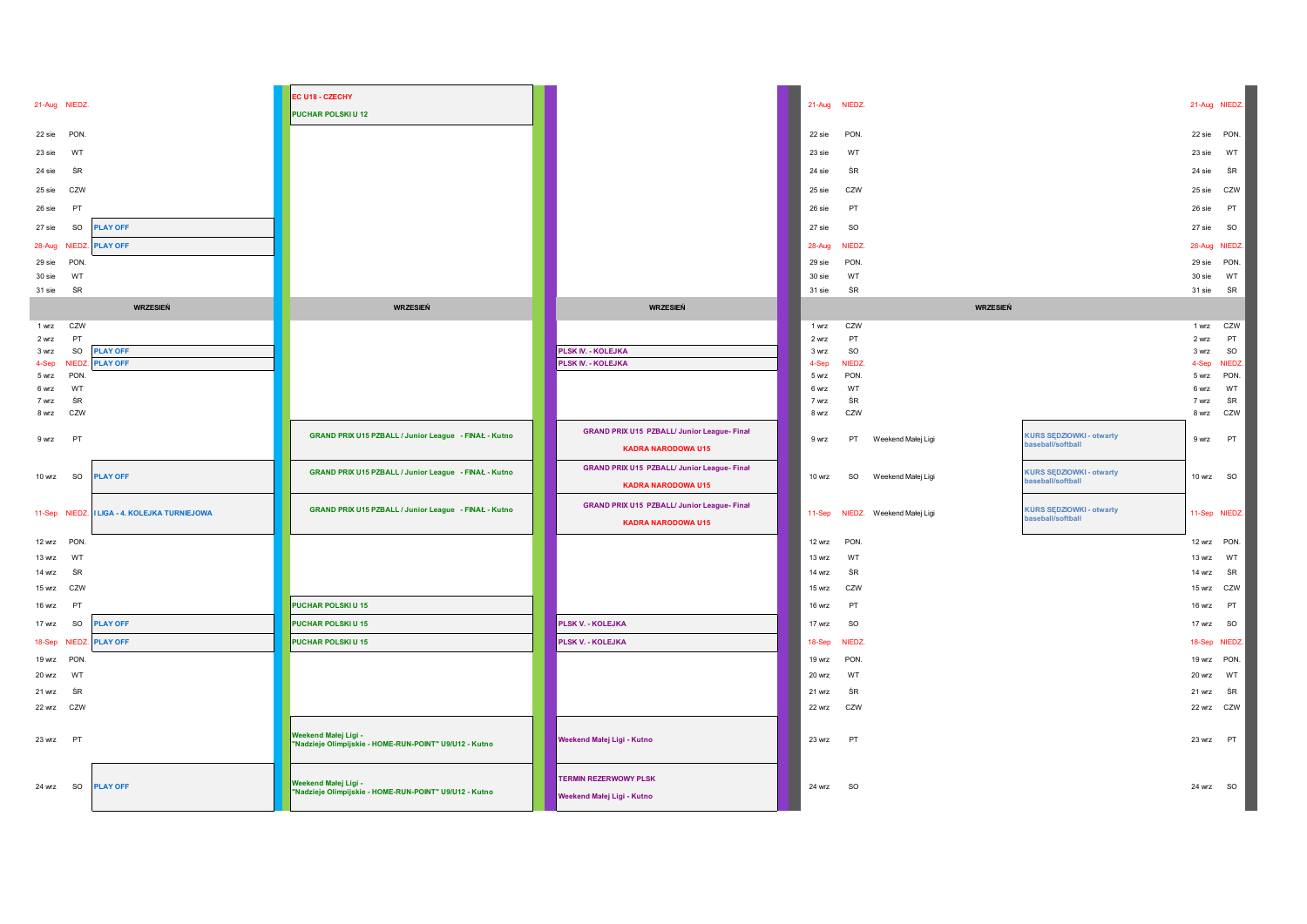|                            |                                       | EC U18 - CZECHY                                                                |                                                    |                          |           |                           |                                 |                |               |
|----------------------------|---------------------------------------|--------------------------------------------------------------------------------|----------------------------------------------------|--------------------------|-----------|---------------------------|---------------------------------|----------------|---------------|
| 21-Aug NIEDZ.              |                                       | PUCHAR POLSKIU 12                                                              |                                                    | 21-Aug                   | NIEDZ.    |                           |                                 |                | 21-Aug NIEDZ. |
| 22 sie PON.                |                                       |                                                                                |                                                    | 22 sie                   | PON.      |                           |                                 |                | 22 sie PON.   |
|                            |                                       |                                                                                |                                                    |                          |           |                           |                                 |                |               |
| 23 sie<br>WT               |                                       |                                                                                |                                                    | 23 sie                   | WT        |                           |                                 | 23 sie         | WT            |
| ŚR<br>24 sie               |                                       |                                                                                |                                                    | 24 sie                   | ŚR        |                           |                                 | 24 sie         | ŚR            |
| CZW<br>25 sie              |                                       |                                                                                |                                                    | 25 sie                   | CZW       |                           |                                 | 25 sie         | CZW           |
| PT<br>26 sie               |                                       |                                                                                |                                                    | 26 sie                   | PT        |                           |                                 | 26 sie         | PT            |
| SO<br>27 sie               | <b>PLAY OFF</b>                       |                                                                                |                                                    | 27 sie                   | SO        |                           |                                 | 27 sie         | SO            |
| 28-Aug NIEDZ               | <b>PLAY OFF</b>                       |                                                                                |                                                    | 28-Aug                   | NIEDZ.    |                           |                                 |                | 28-Aug NIEDZ  |
| 29 sie<br>PON              |                                       |                                                                                |                                                    | 29 sie                   | PON.      |                           |                                 | 29 sie         | PON.          |
| WT<br>30 sie               |                                       |                                                                                |                                                    | 30 sie                   | WT        |                           |                                 | 30 sie         | WT            |
| 31 sie<br>ŚR               |                                       |                                                                                |                                                    | 31 sie                   | ŚR        |                           |                                 | 31 sie         | ŚR            |
|                            | <b>WRZESIEŃ</b>                       | <b>WRZESIEŃ</b>                                                                | <b>WRZESIEŃ</b>                                    |                          |           | <b>WRZESIEŃ</b>           |                                 |                |               |
| CZW<br>1 wrz               |                                       |                                                                                |                                                    | 1 wrz                    | CZW       |                           |                                 | 1 wrz          | CZW           |
| PT<br>2 wrz<br>SO<br>3 wrz | <b>PLAY OFF</b>                       |                                                                                | <b>PLSK IV. - KOLEJKA</b>                          | 2 wrz<br>3 <sub>wz</sub> | PT<br>SO  |                           |                                 | 2 wrz<br>3 wrz | PT<br>SO      |
| NIFD.<br>4-Sep             | <b>PLAY OFF</b>                       |                                                                                | <b>PLSK IV. - KOLEJKA</b>                          | 4-Sep                    | NIEDZ.    |                           |                                 | 4-Sep          | <b>NIEDZ</b>  |
| PON<br>5 wrz               |                                       |                                                                                |                                                    | 5 wrz                    | PON.      |                           |                                 | 5 wrz          | PON.          |
| 6 wrz<br>WT                |                                       |                                                                                |                                                    | 6 wrz                    | WT        |                           |                                 | 6 wrz          | WT            |
| ŚR<br>7 wrz                |                                       |                                                                                |                                                    | 7 wrz                    | ŚR        |                           |                                 | 7 wrz          | ŚR            |
| 8 wrz<br>CZW               |                                       |                                                                                |                                                    | 8 wrz                    | CZW       |                           |                                 | 8 wrz          | CZW           |
| <b>PT</b><br>9 wrz         |                                       | GRAND PRIX U15 PZBALL / Junior League - FINAŁ - Kutno                          | <b>GRAND PRIX U15 PZBALL/ Junior League- Final</b> | 9 wrz                    | PT        | Weekend Małej Ligi        | <b>KURS SEDZIOWKI - otwarty</b> | 9 wrz          | <b>PT</b>     |
|                            |                                       |                                                                                | <b>KADRA NARODOWA U15</b>                          |                          |           |                           | baseball/softball               |                |               |
| 10 wrz<br>so               | <b>PLAY OFF</b>                       | GRAND PRIX U15 PZBALL / Junior League - FINAŁ - Kutno                          | GRAND PRIX U15 PZBALL/ Junior League- Final        | 10 wrz                   | SO        | Weekend Małej Ligi        | <b>KURS SEDZIOWKI - otwarty</b> |                | 10 wrz SO     |
|                            |                                       |                                                                                | <b>KADRA NARODOWA U15</b>                          |                          |           |                           | baseball/softball               |                |               |
|                            |                                       | GRAND PRIX U15 PZBALL / Junior League - FINAŁ - Kutno                          | <b>GRAND PRIX U15 PZBALL/ Junior League- Final</b> |                          |           |                           | <b>KURS SĘDZIOWKI - otwarty</b> |                |               |
| 11-Sep NIEDZ               | <b>I LIGA - 4. KOLEJKA TURNIEJOWA</b> |                                                                                | <b>KADRA NARODOWA U15</b>                          | 11-Sep                   |           | NIEDZ. Weekend Małej Ligi | baseball/softball               |                | 11-Sep NIEDZ. |
| 12 wrz PON.                |                                       |                                                                                |                                                    | 12 wrz                   | PON.      |                           |                                 |                | 12 wrz PON.   |
| 13 wrz<br>WT               |                                       |                                                                                |                                                    | 13 wrz                   | WT        |                           |                                 | 13 wrz         | WT            |
| ŚR<br>14 wrz               |                                       |                                                                                |                                                    | 14 wrz                   | ŚR        |                           |                                 | 14 wrz         | ŚR            |
| 15 wrz<br>CZW              |                                       |                                                                                |                                                    | 15 wrz                   | CZW       |                           |                                 | 15 wrz         | CZW           |
| PT<br>16 wrz               |                                       | PUCHAR POLSKIU 15                                                              |                                                    | 16 wrz                   | PT        |                           |                                 | 16 wrz         | PT            |
| 17 wrz<br>SO               | <b>PLAY OFF</b>                       | <b>PUCHAR POLSKIU15</b>                                                        | <b>PLSK V. - KOLEJKA</b>                           | 17 wrz                   | <b>SO</b> |                           |                                 | 17 wrz         | <b>SO</b>     |
| 18-Sep NIEDZ               | <b>PLAY OFF</b>                       | PUCHAR POLSKIU 15                                                              | PLSK V. - KOLEJKA                                  | 18-Sep                   | NIEDZ.    |                           |                                 |                | 18-Sep NIEDZ. |
| 19 wrz PON.                |                                       |                                                                                |                                                    | 19 wrz                   | PON.      |                           |                                 |                | 19 wrz PON.   |
| 20 wrz<br><b>WT</b>        |                                       |                                                                                |                                                    | <b>20 wrz</b>            | WT        |                           |                                 | 20 wrz         | WT            |
| ŚR<br>21 wrz               |                                       |                                                                                |                                                    | 21 wrz                   | ŚR        |                           |                                 | 21 wrz         | ŚR            |
| 22 wrz CZW                 |                                       |                                                                                |                                                    | 22 wrz                   | CZW       |                           |                                 |                | 22 wrz CZW    |
|                            |                                       |                                                                                |                                                    |                          |           |                           |                                 |                |               |
| 23 wrz PT                  |                                       | Weekend Małej Ligi -<br>"Nadzieje Olimpijskie - HOME-RUN-POINT" U9/U12 - Kutno | Weekend Małej Ligi - Kutno                         | 23 wrz                   | PT        |                           |                                 | 23 wrz PT      |               |
|                            |                                       |                                                                                |                                                    |                          |           |                           |                                 |                |               |
|                            |                                       |                                                                                |                                                    |                          |           |                           |                                 |                |               |
| 24 wrz SO                  | <b>PLAY OFF</b>                       | Weekend Małej Ligi -<br>"Nadzieje Olimpijskie - HOME-RUN-POINT" U9/U12 - Kutno | <b>TERMIN REZERWOWY PLSK</b>                       | 24 wrz SO                |           |                           |                                 | 24 wrz SO      |               |
|                            |                                       |                                                                                | Weekend Małej Ligi - Kutno                         |                          |           |                           |                                 |                |               |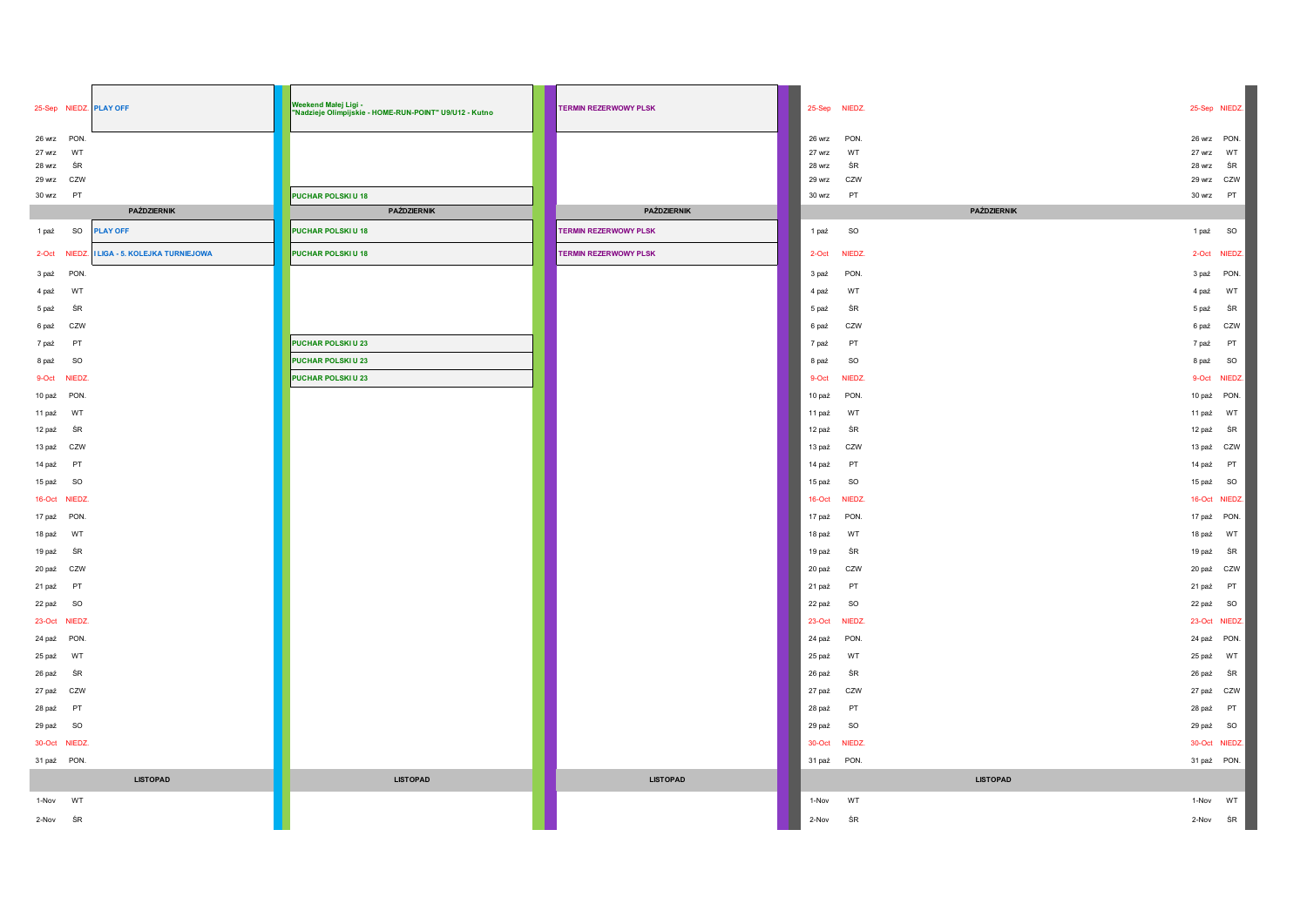| 25-Sep NIEDZ. PLAY OFF     |                                       | Weekend Małej Ligi -<br>"Nadzieje Olimpijskie - HOME-RUN-POINT" U9/U12 - Kutno | <b>TERMIN REZERWOWY PLSK</b> |                  | 25-Sep NIEDZ.   | 25-Sep NIEDZ.          |
|----------------------------|---------------------------------------|--------------------------------------------------------------------------------|------------------------------|------------------|-----------------|------------------------|
| 26 wrz PON.                |                                       |                                                                                |                              | <b>26 wrz</b>    | PON.            | 26 wrz PON.            |
| 27 wrz<br>WT               |                                       |                                                                                |                              | 27 wrz           | WT              | 27 wrz<br>WT           |
| ŚR<br>28 wrz               |                                       |                                                                                |                              | 28 wrz<br>29 wrz | ŚR<br>CZW       | 28 wrz<br>ŚR<br>29 wrz |
| 29 wrz CZW<br>30 wrz<br>PT |                                       | PUCHAR POLSKIU 18                                                              |                              | 30 wrz           | PT              | CZW<br>PT<br>30 wrz    |
|                            | PAŹDZIERNIK                           | PAŹDZIERNIK                                                                    | PAŹDZIERNIK                  |                  | PAŹDZIERNIK     |                        |
| SO<br>1 paź                | <b>PLAY OFF</b>                       | PUCHAR POLSKIU 18                                                              | <b>TERMIN REZERWOWY PLSK</b> | 1 paź            | SO              | <b>SO</b><br>1 paź     |
| 2-Oct NIEDZ.               | <b>I LIGA - 5. KOLEJKA TURNIEJOWA</b> | PUCHAR POLSKIU 18                                                              | <b>TERMIN REZERWOWY PLSK</b> | $2-Ort$          | NIEDZ.          | 2-Oct NIEDZ.           |
| PON.<br>3 paź              |                                       |                                                                                |                              | 3 paź            | PON.            | 3 paź PON.             |
| 4 paź<br>WT                |                                       |                                                                                |                              | 4 paź            | WT              | WT<br>4 paź            |
| 5 paź<br>ŚR                |                                       |                                                                                |                              | 5 paź            | ŚR              | 5 paź<br>ŚR            |
| 6 paź<br>CZW               |                                       |                                                                                |                              | 6 paź            | CZW             | 6 paź<br>CZW           |
| 7 paź<br>P <sub>1</sub>    |                                       | PUCHAR POLSKIU 23                                                              |                              | 7 paź            | PT              | PT<br>7 paź            |
| SO<br>8 paź                |                                       | PUCHAR POLSKIU 23                                                              |                              | 8 paź            | SO              | SO<br>8 paź            |
| 9-Oct NIEDZ.               |                                       | PUCHAR POLSKIU 23                                                              |                              | 9-Oct            | NIEDZ.          | 9-Oct<br>NIEDZ.        |
| 10 paź PON.                |                                       |                                                                                |                              | 10 paź           | PON.            | 10 paź PON.            |
| 11 paź<br>WT               |                                       |                                                                                |                              | 11 paź           | WT              | 11 paź<br>WT           |
| ŚR<br>12 paź               |                                       |                                                                                |                              | 12 paź           | ŚR              | 12 paź<br>ŚR           |
| 13 paź CZW                 |                                       |                                                                                |                              | 13 paź           | CZW             | 13 paź CZW             |
| PT<br>14 paź               |                                       |                                                                                |                              | 14 paź           | PT              | PT<br>14 paź           |
| 15 paź SO                  |                                       |                                                                                |                              | 15 paź           | SO              | SO<br>15 paź           |
| 16-Oct NIEDZ.              |                                       |                                                                                |                              | 16-Oct           | NIEDZ.          | 16-Oct NIEDZ.          |
| 17 paź PON.                |                                       |                                                                                |                              | 17 paź           | PON.            | 17 paź PON.            |
| 18 paź WT                  |                                       |                                                                                |                              | 18 paź           | WT              | 18 paź<br>WT           |
| ŚR<br>19 paź               |                                       |                                                                                |                              | 19 paź           | ŚR              | ŚR<br>19 paź           |
| 20 paź CZW                 |                                       |                                                                                |                              | 20 paź           | CZW             | 20 paź CZW             |
| 21 paź PT                  |                                       |                                                                                |                              | 21 paź           | PT              | PT<br>21 paź           |
| 22 paź SO                  |                                       |                                                                                |                              | 22 paź           | SO              | 22 paź<br><b>SO</b>    |
| 23-Oct NIEDZ.              |                                       |                                                                                |                              | $23-Oct$         | NIEDZ.          | 23-Oct NIEDZ.          |
| 24 paź PON.                |                                       |                                                                                |                              | 24 paź           | PON.            | 24 paź PON.            |
| 25 paź WT                  |                                       |                                                                                |                              | 25 paź           | WT              | WT<br>25 paź           |
| ŚR<br>26 paź               |                                       |                                                                                |                              | 26 paź           | ŚR              | 26 paź<br>ŚR           |
| 27 paź CZW                 |                                       |                                                                                |                              | 27 paź           | CZW             | 27 paź CZW             |
| 28 paź<br><b>PT</b>        |                                       |                                                                                |                              | 28 paź           | PT              | PT<br>28 paź           |
| 29 paź SO                  |                                       |                                                                                |                              | 29 paź           | SO              | 29 paź<br><b>SO</b>    |
| 30-Oct NIEDZ.              |                                       |                                                                                |                              | $30 - Oct$       | NIEDZ.          | 30-Oct NIEDZ.          |
| 31 paź PON.                |                                       |                                                                                |                              |                  | 31 paź PON.     | 31 paź PON.            |
|                            | <b>LISTOPAD</b>                       | <b>LISTOPAD</b>                                                                | <b>LISTOPAD</b>              |                  | <b>LISTOPAD</b> |                        |
| 1-Nov<br>WT                |                                       |                                                                                |                              | 1-Nov            | WT              | WT<br>1-Nov            |
| 2-Nov<br>ŚR                |                                       |                                                                                |                              | 2-Nov            | ŚR              | ŚR<br>2-Nov            |
|                            |                                       |                                                                                |                              |                  |                 |                        |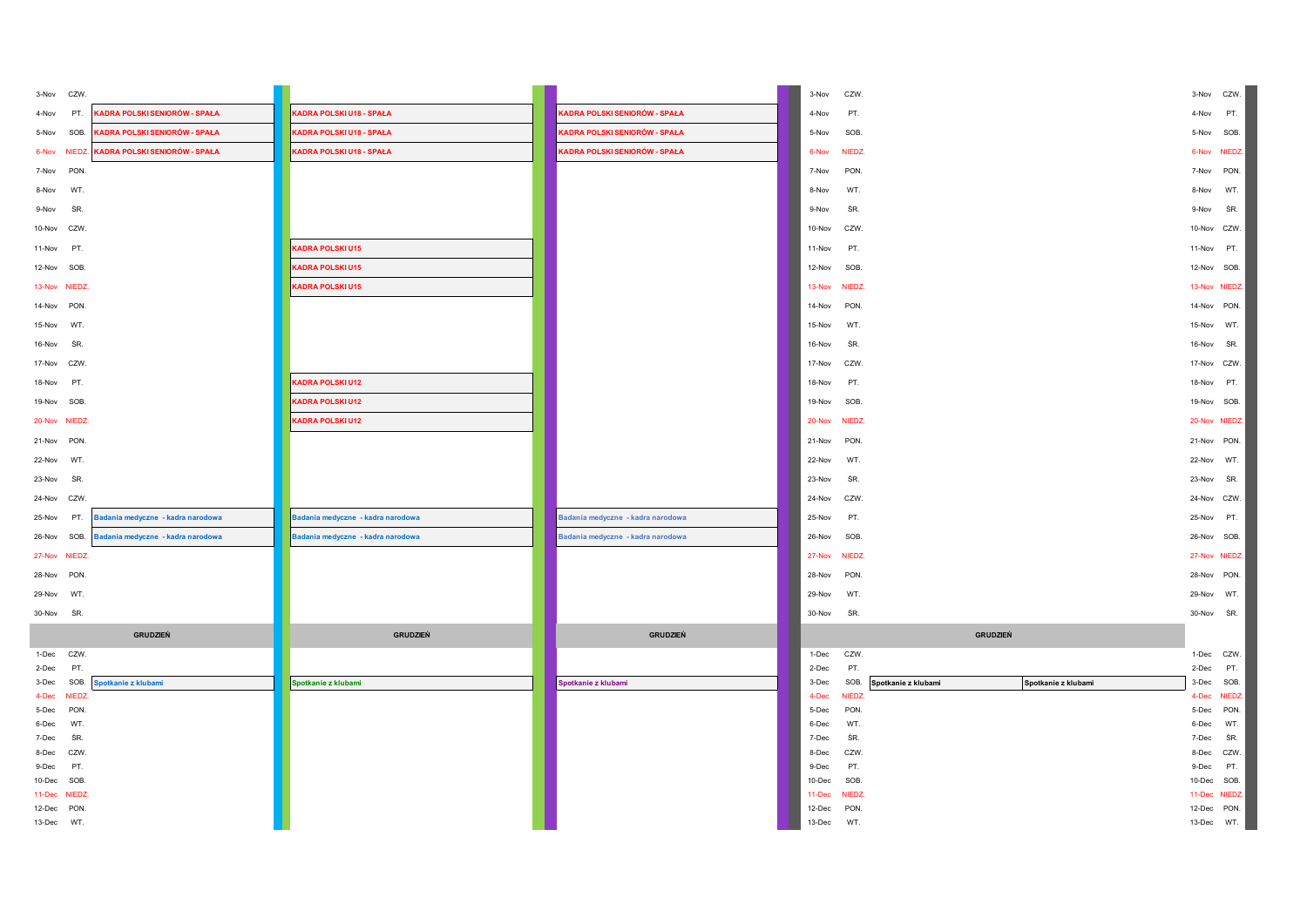| 3-Nov CZW.                    |                                   |                                   |                                   | 3-Nov          | CZW.                 |                                            | 3-Nov          | CZW.                       |
|-------------------------------|-----------------------------------|-----------------------------------|-----------------------------------|----------------|----------------------|--------------------------------------------|----------------|----------------------------|
| PT.<br>4-Nov                  | KADRA POLSKI SENIORÓW - SPAŁA     | KADRA POLSKI U18 - SPAŁA          | KADRA POLSKI SENIORÓW - SPAŁA     | 4-Nov          | PT.                  |                                            | 4-Nov          | PT.                        |
| 5-Nov<br>SOB.                 | KADRA POLSKI SENIORÓW - SPAŁA     | KADRA POLSKI U18 - SPAŁA          | KADRA POLSKI SENIORÓW - SPAŁA     | 5-Nov          | SOB.                 |                                            | 5-Nov          | SOB.                       |
| 6-Nov NIEDZ.                  | KADRA POLSKI SENIORÓW - SPAŁA     | KADRA POLSKI U18 - SPAŁA          | KADRA POLSKI SENIORÓW - SPAŁA     | 6-Nov          | <b>NIEDZ</b>         |                                            |                | 6-Nov NIEDZ.               |
| <b>PON</b><br>7-Nov           |                                   |                                   |                                   | 7-Nov          | PON.                 |                                            | 7-Nov          | PON.                       |
| 8-Nov<br>WT.                  |                                   |                                   |                                   | 8-Nov          | WT.                  |                                            | 8-Nov          | WT.                        |
| ŚR.<br>9-Nov                  |                                   |                                   |                                   | 9-Nov          | ŚR.                  |                                            | 9-Nov          | ŚR.                        |
| 10-Nov CZW.                   |                                   |                                   |                                   | 10-Nov         | CZW.                 |                                            |                | 10-Nov CZW.                |
| 11-Nov<br>PT.                 |                                   | KADRA POLSKI U15                  |                                   | 11-Nov         | PT.                  |                                            | 11-Nov PT.     |                            |
| 12-Nov SOB.                   |                                   | <b>KADRA POLSKI U15</b>           |                                   | 12-Nov         | SOB.                 |                                            | 12-Nov SOB.    |                            |
| 13-Nov NIEDZ.                 |                                   | KADRA POLSKI U15                  |                                   | 13-Nov         | <b>NIEDZ</b>         |                                            |                | 13-Nov NIEDZ.              |
| 14-Nov PON.                   |                                   |                                   |                                   | 14-Nov         | PON.                 |                                            |                | 14-Nov PON.                |
| 15-Nov<br>WT.                 |                                   |                                   |                                   | 15-Nov         | WT.                  |                                            | 15-Nov WT.     |                            |
| 16-Nov<br>ŚR                  |                                   |                                   |                                   | 16-Nov         | ŚR.                  |                                            | 16-Nov SR.     |                            |
| 17-Nov CZW.                   |                                   |                                   |                                   | 17-Nov         | CZW.                 |                                            | 17-Nov CZW.    |                            |
|                               |                                   |                                   |                                   |                |                      |                                            |                |                            |
| 18-Nov<br><b>PT</b>           |                                   | KADRA POLSKI U12                  |                                   | 18-Nov         | PT.                  |                                            | 18-Nov         | PT.                        |
| 19-Nov SOB.                   |                                   | KADRA POLSKI U12                  |                                   | 19-Nov         | SOB.                 |                                            | 19-Nov SOB.    |                            |
| 20-Nov NIEDZ.                 |                                   | KADRA POLSKI U12                  |                                   | 20-Nov         | <b>NIEDZ</b>         |                                            |                | 20-Nov NIEDZ.              |
| 21-Nov PON.                   |                                   |                                   |                                   | 21-Nov         | PON.                 |                                            | 21-Nov PON.    |                            |
| 22-Nov WT.                    |                                   |                                   |                                   | 22-Nov         | WT.                  |                                            | 22-Nov WT.     |                            |
| ŚR.<br>23-Nov                 |                                   |                                   |                                   | 23-Nov         | ŚR.                  |                                            | 23-Nov SR.     |                            |
| 24-Nov CZW.                   |                                   |                                   |                                   | 24-Nov         | CZW.                 |                                            |                | 24-Nov CZW.                |
| 25-Nov<br>PT.                 | Badania medyczne - kadra narodowa | Badania medyczne - kadra narodowa | Badania medyczne - kadra narodowa | 25-Nov         | PT.                  |                                            | 25-Nov PT.     |                            |
| 26-Nov SOB.                   | Badania medyczne - kadra narodowa | Badania medyczne - kadra narodowa | Badania medyczne - kadra narodowa | 26-Nov         | SOB.                 |                                            | 26-Nov SOB.    |                            |
| 27-Nov NIEDZ                  |                                   |                                   |                                   | 27-Nov         | <b>NIEDZ</b>         |                                            |                | 27-Nov NIEDZ.              |
| 28-Nov PON.                   |                                   |                                   |                                   | 28-Nov         | PON.                 |                                            | 28-Nov PON.    |                            |
| 29-Nov<br>WT.                 |                                   |                                   |                                   | 29-Nov         | WT.                  |                                            | 29-Nov WT.     |                            |
| 30-Nov SR.                    |                                   |                                   |                                   | 30-Nov         | ŚR.                  |                                            | 30-Nov SR.     |                            |
|                               | GRUDZIEŃ                          | <b>GRUDZIEŃ</b>                   | <b>GRUDZIEŃ</b>                   |                |                      | GRUDZIEŃ                                   |                |                            |
| 1-Dec CZW.                    |                                   |                                   |                                   | 1-Dec          | CZW.                 |                                            |                | 1-Dec CZW.                 |
| 2-Dec<br>PT.                  |                                   |                                   |                                   | 2-Dec          | PT.                  |                                            | 2-Dec          | PT.                        |
| SOB.<br>3-Dec<br>4-Dec NIEDZ. | Spotkanie z klubami               | Spotkanie z klubami               | Spotkanie z klubami               | 3-Dec<br>4-Dec | SOB.<br><b>NIEDZ</b> | Spotkanie z klubami<br>Spotkanie z klubami |                | 3-Dec SOB.<br>4-Dec NIEDZ. |
| 5-Dec<br>PON.                 |                                   |                                   |                                   | 5-Dec          | PON.                 |                                            | 5-Dec          | PON.                       |
| WT.<br>6-Dec                  |                                   |                                   |                                   | 6-Dec          | WT.                  |                                            | 6-Dec          | WT.                        |
| 7-Dec<br>ŚR                   |                                   |                                   |                                   | 7-Dec          | ŚR.                  |                                            | 7-Dec          | ŚR.                        |
| 8-Dec CZW<br>9-Dec<br>PT.     |                                   |                                   |                                   | 8-Dec<br>9-Dec | CZW.<br>PT.          |                                            | 8-Dec<br>9-Dec | CZW.<br>PT.                |
| 10-Dec SOB.                   |                                   |                                   |                                   | 10-Dec         | SOB.                 |                                            | 10-Dec         | SOB.                       |
| 11-Dec NIEDZ                  |                                   |                                   |                                   | 11-Dec         | <b>NIEDZ</b>         |                                            |                | 11-Dec NIEDZ.              |
| 12-Dec PON.                   |                                   |                                   |                                   | 12-Dec         | PON.                 |                                            |                | 12-Dec PON.                |
| 13-Dec WT.                    |                                   |                                   |                                   | 13-Dec         | WT.                  |                                            |                | 13-Dec WT.                 |